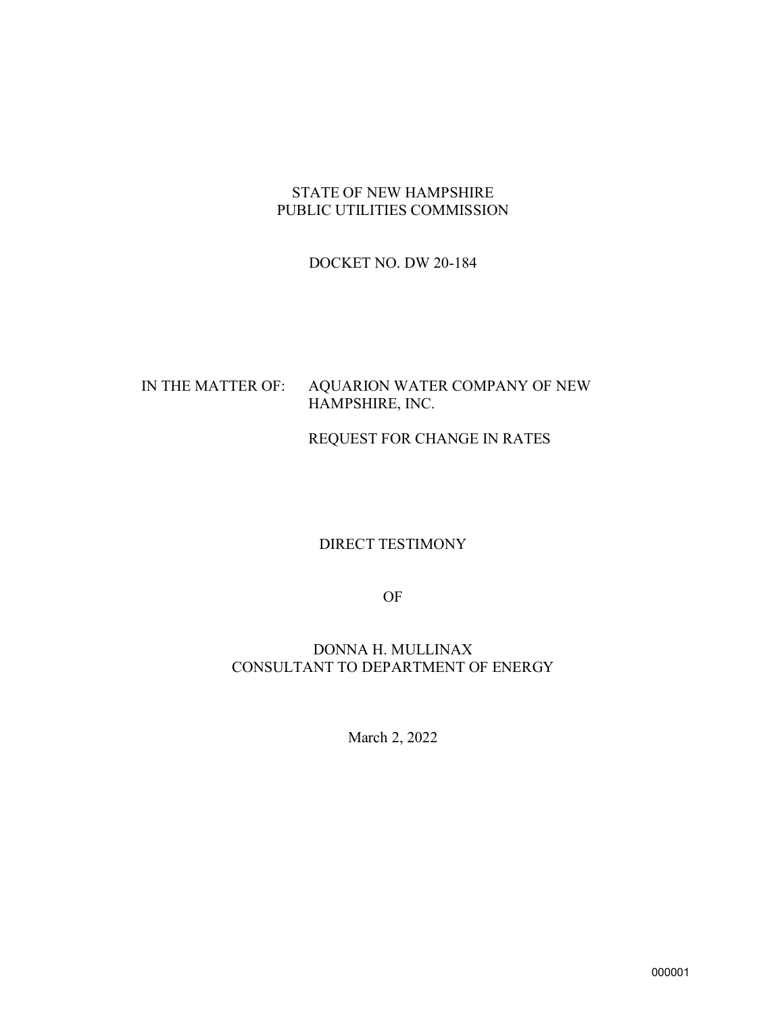#### STATE OF NEW HAMPSHIRE PUBLIC UTILITIES COMMISSION

#### DOCKET NO. DW 20-184

#### IN THE MATTER OF: AQUARION WATER COMPANY OF NEW HAMPSHIRE, INC.

#### REQUEST FOR CHANGE IN RATES

#### DIRECT TESTIMONY

OF

#### DONNA H. MULLINAX CONSULTANT TO DEPARTMENT OF ENERGY

March 2, 2022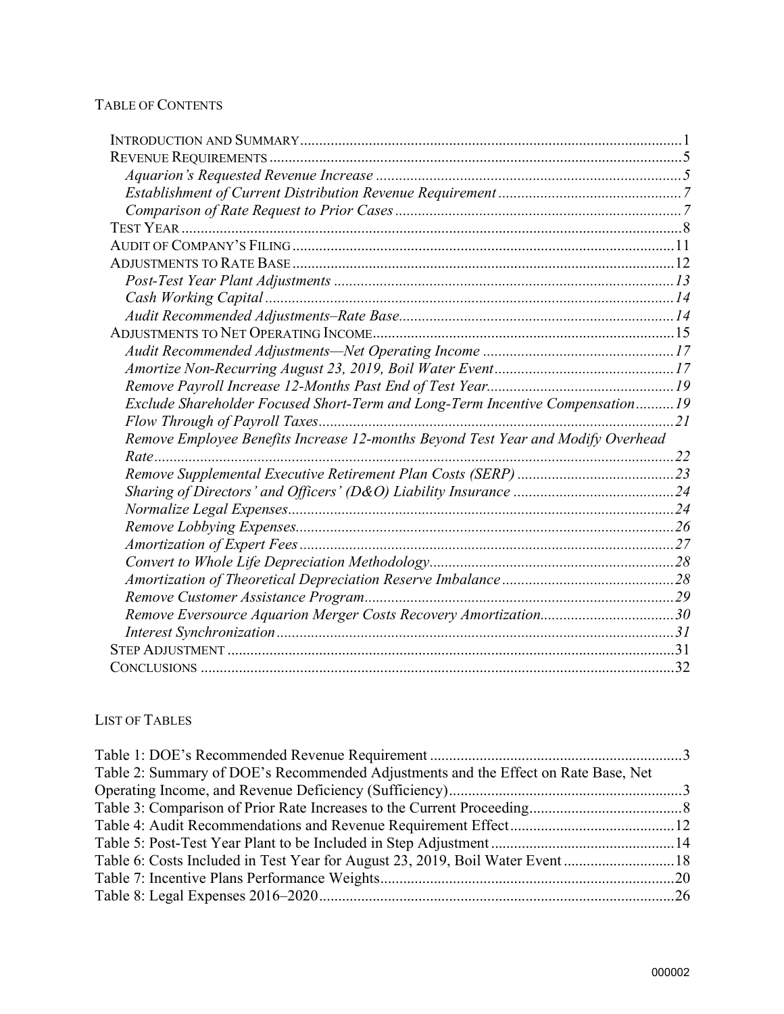#### TABLE OF CONTENTS

| Exclude Shareholder Focused Short-Term and Long-Term Incentive Compensation 19   |  |
|----------------------------------------------------------------------------------|--|
|                                                                                  |  |
| Remove Employee Benefits Increase 12-months Beyond Test Year and Modify Overhead |  |
|                                                                                  |  |
|                                                                                  |  |
|                                                                                  |  |
|                                                                                  |  |
|                                                                                  |  |
|                                                                                  |  |
|                                                                                  |  |
|                                                                                  |  |
|                                                                                  |  |
| Remove Eversource Aquarion Merger Costs Recovery Amortization30                  |  |
|                                                                                  |  |
|                                                                                  |  |
|                                                                                  |  |
|                                                                                  |  |

#### LIST OF TABLES

| Table 2: Summary of DOE's Recommended Adjustments and the Effect on Rate Base, Net |  |
|------------------------------------------------------------------------------------|--|
|                                                                                    |  |
|                                                                                    |  |
|                                                                                    |  |
|                                                                                    |  |
| Table 6: Costs Included in Test Year for August 23, 2019, Boil Water Event 18      |  |
|                                                                                    |  |
|                                                                                    |  |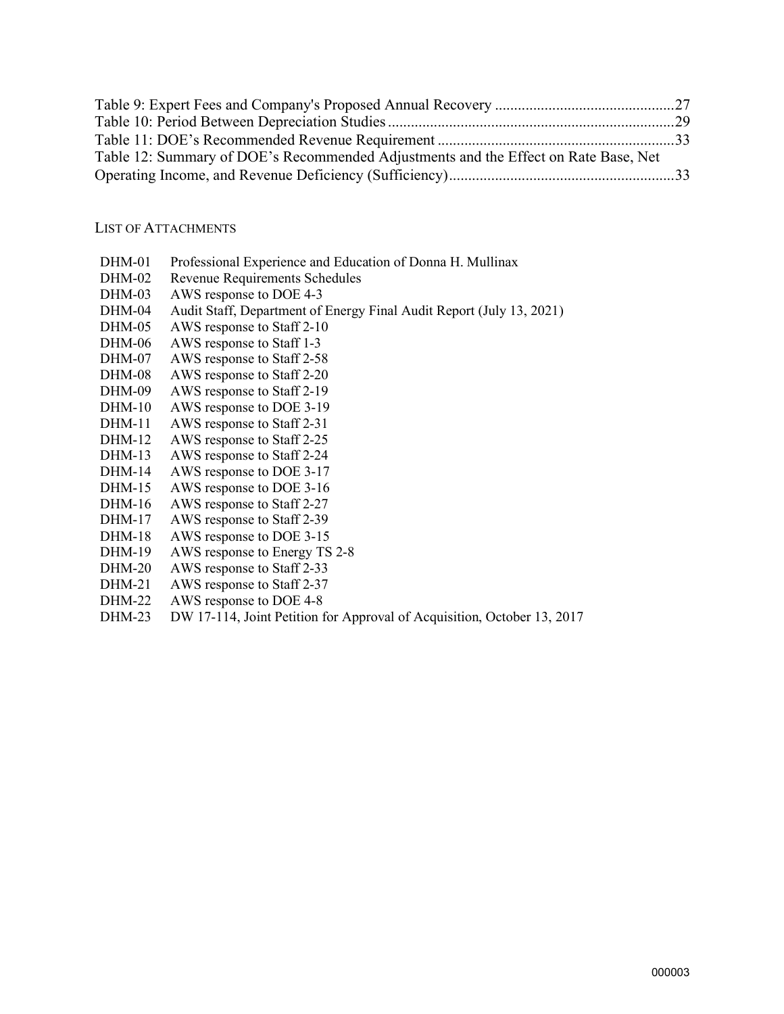| Table 12: Summary of DOE's Recommended Adjustments and the Effect on Rate Base, Net |  |
|-------------------------------------------------------------------------------------|--|
|                                                                                     |  |

#### LIST OF ATTACHMENTS

- DHM-01 Professional Experience and Education of Donna H. Mullinax
- DHM-02 Revenue Requirements Schedules
- DHM-03 AWS response to DOE 4-3
- DHM-04 Audit Staff, Department of Energy Final Audit Report (July 13, 2021)
- DHM-05 AWS response to Staff 2-10
- DHM-06 AWS response to Staff 1-3
- DHM-07 AWS response to Staff 2-58
- DHM-08 AWS response to Staff 2-20
- DHM-09 AWS response to Staff 2-19
- DHM-10 AWS response to DOE 3-19 DHM-11 AWS response to Staff 2-31
- DHM-12 AWS response to Staff 2-25
- DHM-13 AWS response to Staff 2-24
- 
- DHM-14 AWS response to DOE 3-17<br>DHM-15 AWS response to DOE 3-16 AWS response to DOE 3-16
- DHM-16 AWS response to Staff 2-27
- DHM-17 AWS response to Staff 2-39
- DHM-18 AWS response to DOE 3-15
- DHM-19 AWS response to Energy TS 2-8
- DHM-20 AWS response to Staff 2-33
- DHM-21 AWS response to Staff 2-37
- DHM-22 AWS response to DOE 4-8
- DHM-23 DW 17-114, Joint Petition for Approval of Acquisition, October 13, 2017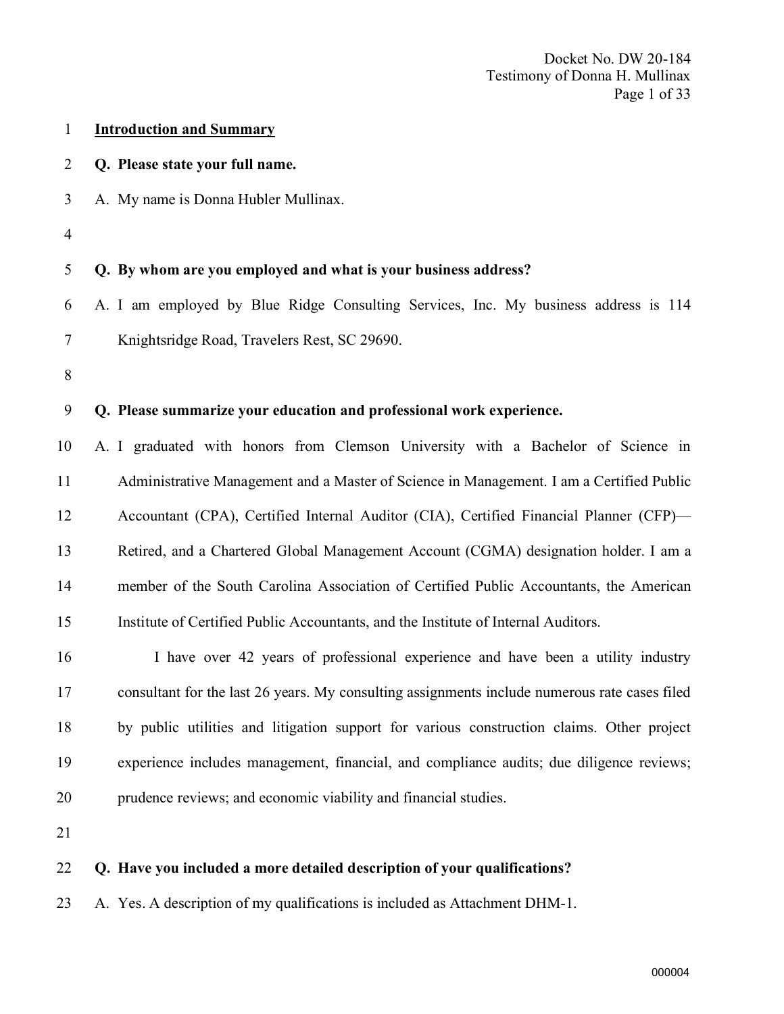| $\mathbf{1}$   | <b>Introduction and Summary</b>                                                               |
|----------------|-----------------------------------------------------------------------------------------------|
| $\overline{2}$ | Q. Please state your full name.                                                               |
| 3              | A. My name is Donna Hubler Mullinax.                                                          |
| $\overline{4}$ |                                                                                               |
| 5              | Q. By whom are you employed and what is your business address?                                |
| 6              | A. I am employed by Blue Ridge Consulting Services, Inc. My business address is 114           |
| $\tau$         | Knightsridge Road, Travelers Rest, SC 29690.                                                  |
| 8              |                                                                                               |
| 9              | Q. Please summarize your education and professional work experience.                          |
| 10             | A. I graduated with honors from Clemson University with a Bachelor of Science in              |
| 11             | Administrative Management and a Master of Science in Management. I am a Certified Public      |
| 12             | Accountant (CPA), Certified Internal Auditor (CIA), Certified Financial Planner (CFP)-        |
| 13             | Retired, and a Chartered Global Management Account (CGMA) designation holder. I am a          |
| 14             | member of the South Carolina Association of Certified Public Accountants, the American        |
| 15             | Institute of Certified Public Accountants, and the Institute of Internal Auditors.            |
| 16             | I have over 42 years of professional experience and have been a utility industry              |
| 17             | consultant for the last 26 years. My consulting assignments include numerous rate cases filed |
| 18             | by public utilities and litigation support for various construction claims. Other project     |
| 19             | experience includes management, financial, and compliance audits; due diligence reviews;      |
| 20             | prudence reviews; and economic viability and financial studies.                               |
| 21             |                                                                                               |
| 22             | Q. Have you included a more detailed description of your qualifications?                      |
| 23             | A. Yes. A description of my qualifications is included as Attachment DHM-1.                   |
|                |                                                                                               |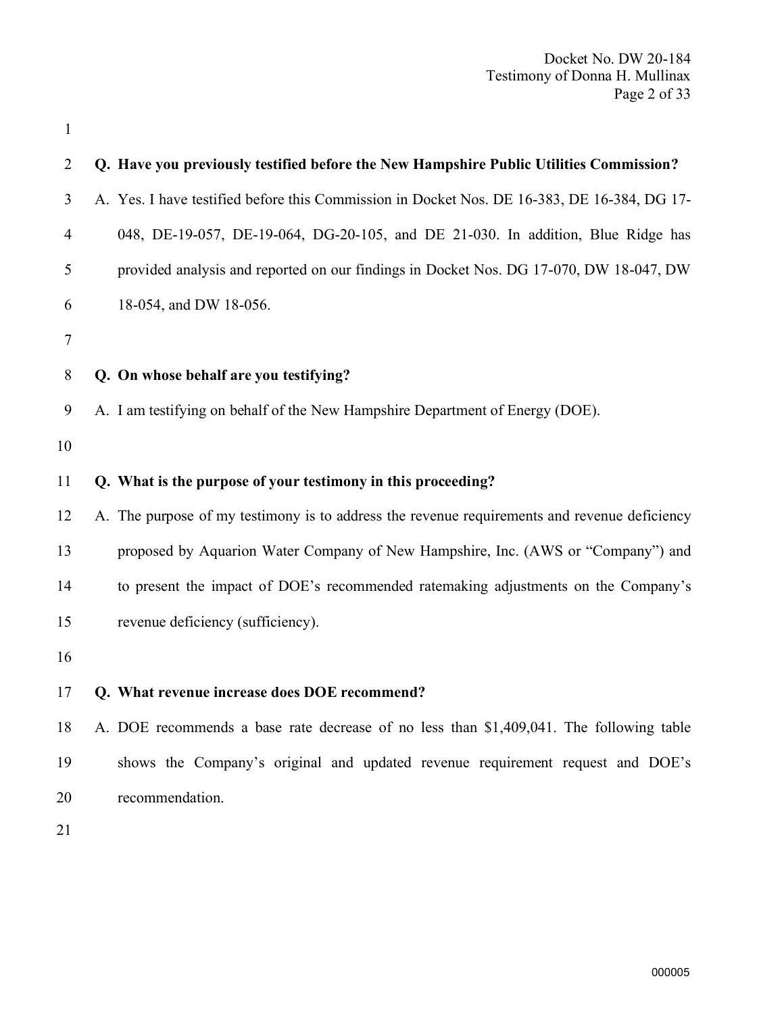| $\overline{2}$ | Q. Have you previously testified before the New Hampshire Public Utilities Commission?       |
|----------------|----------------------------------------------------------------------------------------------|
| 3              | A. Yes. I have testified before this Commission in Docket Nos. DE 16-383, DE 16-384, DG 17-  |
| 4              | 048, DE-19-057, DE-19-064, DG-20-105, and DE 21-030. In addition, Blue Ridge has             |
| 5              | provided analysis and reported on our findings in Docket Nos. DG 17-070, DW 18-047, DW       |
| 6              | 18-054, and DW 18-056.                                                                       |
| 7              |                                                                                              |
| 8              | Q. On whose behalf are you testifying?                                                       |
| 9              | A. I am testifying on behalf of the New Hampshire Department of Energy (DOE).                |
| 10             |                                                                                              |
| 11             | Q. What is the purpose of your testimony in this proceeding?                                 |
| 12             | A. The purpose of my testimony is to address the revenue requirements and revenue deficiency |
| 13             | proposed by Aquarion Water Company of New Hampshire, Inc. (AWS or "Company") and             |
| 14             | to present the impact of DOE's recommended ratemaking adjustments on the Company's           |
| 15             | revenue deficiency (sufficiency).                                                            |
| 16             |                                                                                              |
| 17             | Q. What revenue increase does DOE recommend?                                                 |
| 18             | A. DOE recommends a base rate decrease of no less than \$1,409,041. The following table      |
| 19             | shows the Company's original and updated revenue requirement request and DOE's               |
| 20             | recommendation.                                                                              |
| $\bigcap$ 1    |                                                                                              |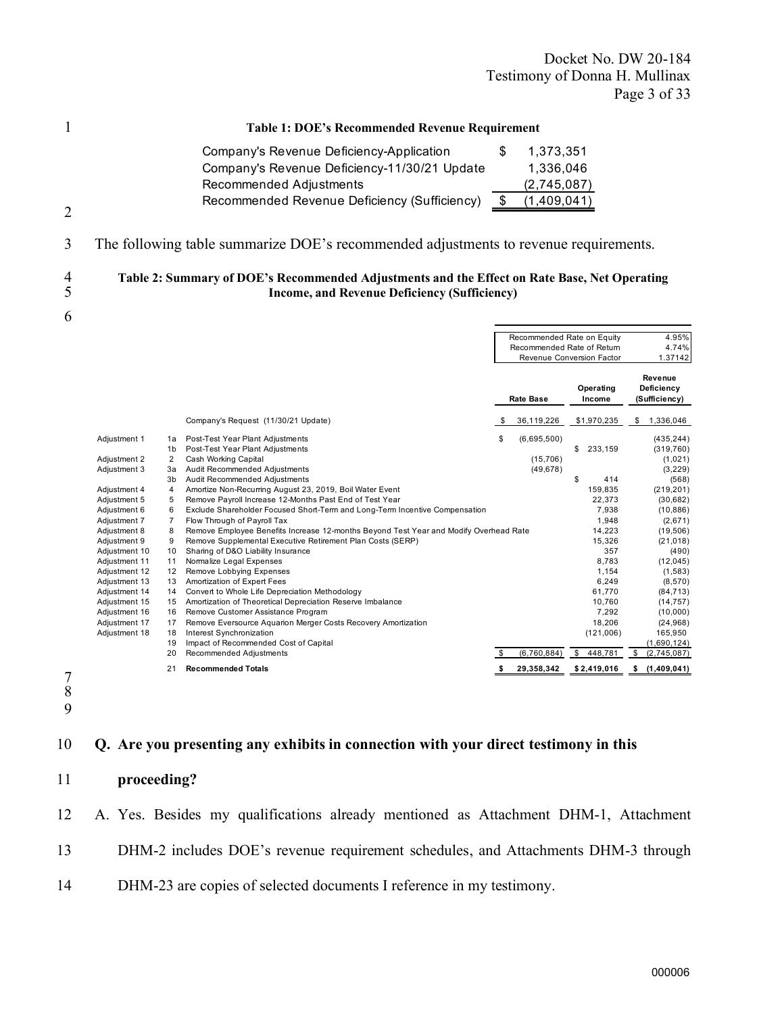Docket No. DW 20-184 Testimony of Donna H. Mullinax Page 3 of 33

|                    | <b>Table 1: DOE's Recommended Revenue Requirement</b>                                                                                                                                                                            |  |  |  |  |  |  |
|--------------------|----------------------------------------------------------------------------------------------------------------------------------------------------------------------------------------------------------------------------------|--|--|--|--|--|--|
|                    | Company's Revenue Deficiency-Application<br>1.373.351<br>S<br>Company's Revenue Deficiency-11/30/21 Update<br>1,336,046<br>Recommended Adjustments<br>(2,745,087)<br>(1,409,041)<br>Recommended Revenue Deficiency (Sufficiency) |  |  |  |  |  |  |
| 2<br>3             | The following table summarize DOE's recommended adjustments to revenue requirements.                                                                                                                                             |  |  |  |  |  |  |
| $\frac{4}{5}$<br>6 | Table 2: Summary of DOE's Recommended Adjustments and the Effect on Rate Base, Net Operating<br><b>Income, and Revenue Deficiency (Sufficiency)</b>                                                                              |  |  |  |  |  |  |

|               |                      |                                                                                       | Recommended Rate on Equity<br>Recommended Rate of Return<br>Revenue Conversion Factor |                  | 4.95%<br>4.74%<br>1.37142 |                                        |
|---------------|----------------------|---------------------------------------------------------------------------------------|---------------------------------------------------------------------------------------|------------------|---------------------------|----------------------------------------|
|               |                      |                                                                                       |                                                                                       | <b>Rate Base</b> | Operating<br>Income       | Revenue<br>Deficiency<br>(Sufficiency) |
|               |                      | Company's Request (11/30/21 Update)                                                   | - \$                                                                                  | 36,119,226       | \$1,970,235               | 1,336,046<br>S                         |
| Adjustment 1  | 1a<br>1 <sub>b</sub> | Post-Test Year Plant Adjustments<br>Post-Test Year Plant Adjustments                  | \$                                                                                    | (6,695,500)      | \$<br>233,159             | (435, 244)<br>(319, 760)               |
| Adjustment 2  | $\overline{2}$       | Cash Working Capital                                                                  |                                                                                       | (15, 706)        |                           | (1,021)                                |
| Adjustment 3  | 3a                   | Audit Recommended Adjustments                                                         |                                                                                       | (49, 678)        |                           | (3, 229)                               |
|               | 3 <sub>b</sub>       | Audit Recommended Adjustments                                                         |                                                                                       |                  | \$<br>414                 | (568)                                  |
| Adjustment 4  | 4                    | Amortize Non-Recurring August 23, 2019, Boil Water Event                              |                                                                                       |                  | 159,835                   | (219, 201)                             |
| Adjustment 5  | 5                    | Remove Payroll Increase 12-Months Past End of Test Year                               |                                                                                       |                  | 22,373                    | (30, 682)                              |
| Adjustment 6  | 6                    | Exclude Shareholder Focused Short-Term and Long-Term Incentive Compensation           |                                                                                       |                  | 7.938                     | (10, 886)                              |
| Adjustment 7  | $\overline{7}$       | Flow Through of Payroll Tax                                                           |                                                                                       |                  | 1,948                     | (2,671)                                |
| Adjustment 8  | 8                    | Remove Employee Benefits Increase 12-months Beyond Test Year and Modify Overhead Rate |                                                                                       |                  | 14,223                    | (19, 506)                              |
| Adjustment 9  | 9                    | Remove Supplemental Executive Retirement Plan Costs (SERP)                            |                                                                                       |                  | 15,326                    | (21, 018)                              |
| Adjustment 10 | 10                   | Sharing of D&O Liability Insurance                                                    |                                                                                       |                  | 357                       | (490)                                  |
| Adjustment 11 | 11                   | Normalize Legal Expenses                                                              |                                                                                       |                  | 8.783                     | (12, 045)                              |
| Adjustment 12 | 12                   | Remove Lobbying Expenses                                                              |                                                                                       |                  | 1,154                     | (1,583)                                |
| Adjustment 13 | 13                   | Amortization of Expert Fees                                                           |                                                                                       |                  | 6,249                     | (8,570)                                |
| Adjustment 14 | 14                   | Convert to Whole Life Depreciation Methodology                                        |                                                                                       |                  | 61,770                    | (84, 713)                              |
| Adjustment 15 | 15                   | Amortization of Theoretical Depreciation Reserve Imbalance                            |                                                                                       |                  | 10,760                    | (14, 757)                              |
| Adjustment 16 | 16                   | Remove Customer Assistance Program                                                    |                                                                                       |                  | 7,292                     | (10,000)                               |
| Adjustment 17 | 17                   | Remove Eversource Aquarion Merger Costs Recovery Amortization                         |                                                                                       |                  | 18.206                    | (24, 968)                              |
| Adjustment 18 | 18                   | Interest Synchronization                                                              |                                                                                       |                  | (121,006)                 | 165,950                                |
|               | 19                   | Impact of Recommended Cost of Capital                                                 |                                                                                       |                  |                           | (1,690,124)                            |
|               | 20                   | Recommended Adjustments                                                               | \$.                                                                                   | (6,760,884)      | \$<br>448,781             | \$<br>(2,745,087)                      |
|               | 21                   | <b>Recommended Totals</b>                                                             |                                                                                       | 29,358,342       | \$2,419,016               | (1,409,041)<br>\$                      |

7 8 9

### 10 Q. Are you presenting any exhibits in connection with your direct testimony in this

- 11 proceeding?
- 12 A. Yes. Besides my qualifications already mentioned as Attachment DHM-1, Attachment
- 13 DHM-2 includes DOE's revenue requirement schedules, and Attachments DHM-3 through
- 14 DHM-23 are copies of selected documents I reference in my testimony.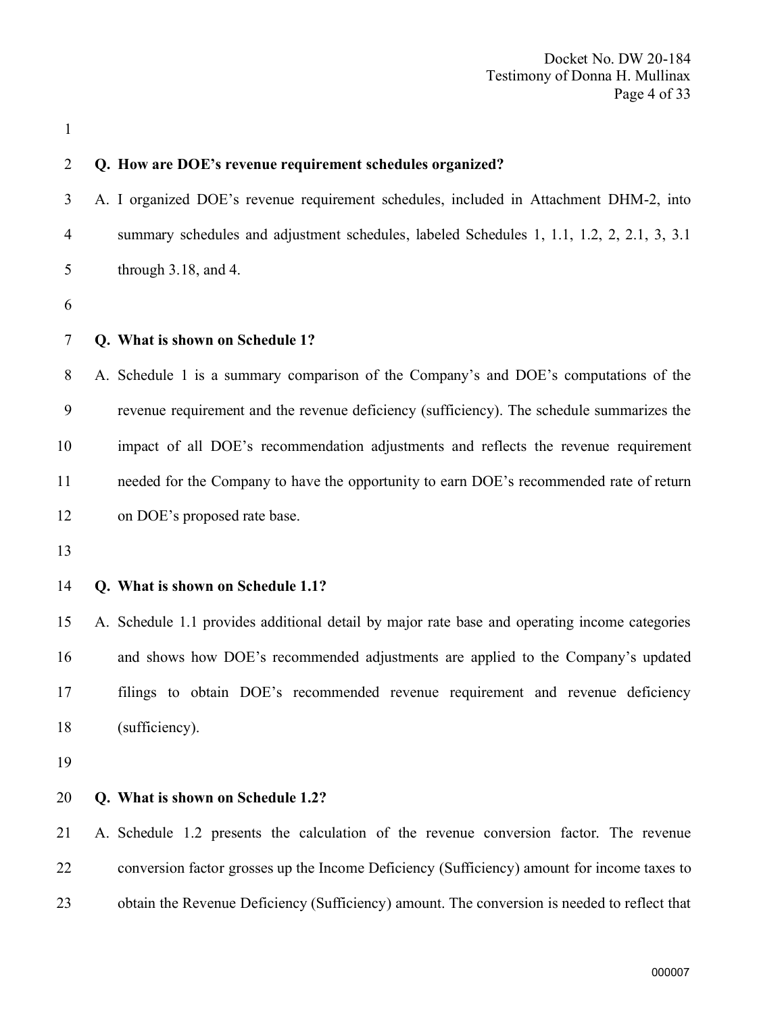| 2              | Q. How are DOE's revenue requirement schedules organized?                                     |
|----------------|-----------------------------------------------------------------------------------------------|
| 3              | A. I organized DOE's revenue requirement schedules, included in Attachment DHM-2, into        |
| $\overline{4}$ | summary schedules and adjustment schedules, labeled Schedules 1, 1.1, 1.2, 2, 2.1, 3, 3.1     |
| 5              | through $3.18$ , and $4$ .                                                                    |
| 6              |                                                                                               |
| $\tau$         | Q. What is shown on Schedule 1?                                                               |
| 8              | A. Schedule 1 is a summary comparison of the Company's and DOE's computations of the          |
| 9              | revenue requirement and the revenue deficiency (sufficiency). The schedule summarizes the     |
| 10             | impact of all DOE's recommendation adjustments and reflects the revenue requirement           |
| 11             | needed for the Company to have the opportunity to earn DOE's recommended rate of return       |
| 12             | on DOE's proposed rate base.                                                                  |
| 13             |                                                                                               |
| 14             | Q. What is shown on Schedule 1.1?                                                             |
| 15             | A. Schedule 1.1 provides additional detail by major rate base and operating income categories |
| 16             | and shows how DOE's recommended adjustments are applied to the Company's updated              |
| 17             | filings to obtain DOE's recommended revenue requirement and revenue deficiency                |
| 18             | (sufficiency).                                                                                |
| 19             |                                                                                               |
| 20             | Q. What is shown on Schedule 1.2?                                                             |
| 21             | A. Schedule 1.2 presents the calculation of the revenue conversion factor. The revenue        |
| 22             | conversion factor grosses up the Income Deficiency (Sufficiency) amount for income taxes to   |
| 23             | obtain the Revenue Deficiency (Sufficiency) amount. The conversion is needed to reflect that  |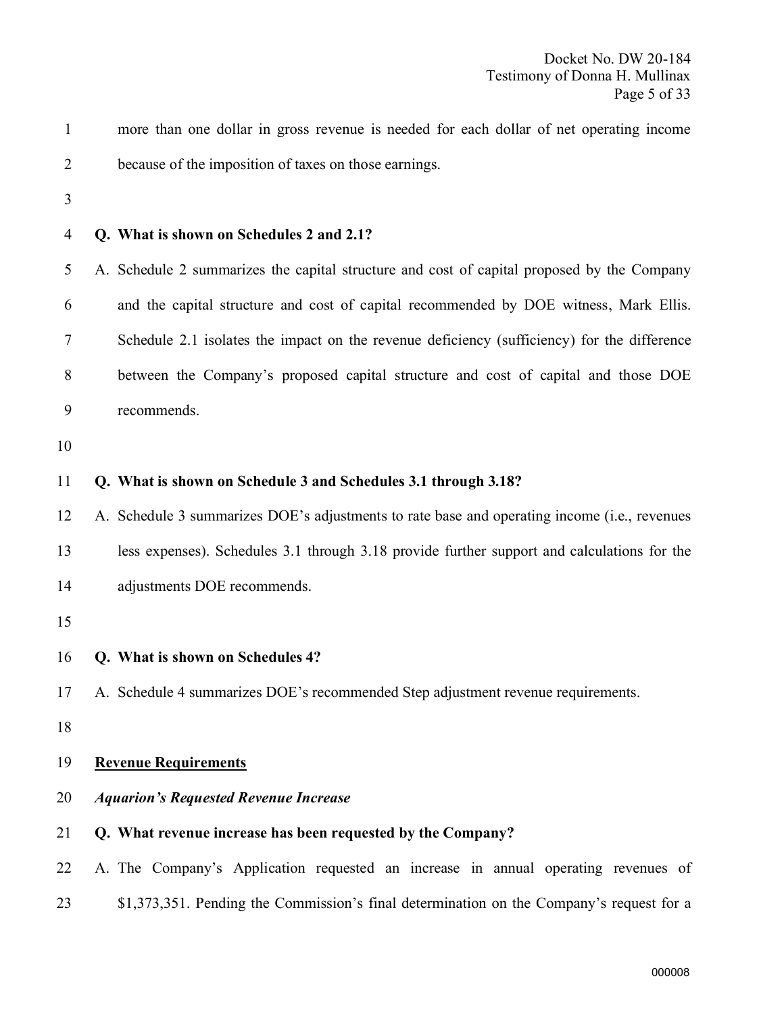| $\mathbf{1}$   | more than one dollar in gross revenue is needed for each dollar of net operating income      |
|----------------|----------------------------------------------------------------------------------------------|
| $\overline{2}$ | because of the imposition of taxes on those earnings.                                        |
| 3              |                                                                                              |
| 4              | Q. What is shown on Schedules 2 and 2.1?                                                     |
| 5              | A. Schedule 2 summarizes the capital structure and cost of capital proposed by the Company   |
| 6              | and the capital structure and cost of capital recommended by DOE witness, Mark Ellis.        |
| 7              | Schedule 2.1 isolates the impact on the revenue deficiency (sufficiency) for the difference  |
| 8              | between the Company's proposed capital structure and cost of capital and those DOE           |
| 9              | recommends.                                                                                  |
| 10             |                                                                                              |
| 11             | Q. What is shown on Schedule 3 and Schedules 3.1 through 3.18?                               |
| 12             | A. Schedule 3 summarizes DOE's adjustments to rate base and operating income (i.e., revenues |
| 13             | less expenses). Schedules 3.1 through 3.18 provide further support and calculations for the  |
| 14             | adjustments DOE recommends.                                                                  |
| 15             |                                                                                              |
| 16             | Q. What is shown on Schedules 4?                                                             |
| 17             | A. Schedule 4 summarizes DOE's recommended Step adjustment revenue requirements.             |
| 18             |                                                                                              |
| 19             | <b>Revenue Requirements</b>                                                                  |
| 20             | <b>Aquarion's Requested Revenue Increase</b>                                                 |
| 21             | Q. What revenue increase has been requested by the Company?                                  |
| 22             | A. The Company's Application requested an increase in annual operating revenues of           |
| 23             | \$1,373,351. Pending the Commission's final determination on the Company's request for a     |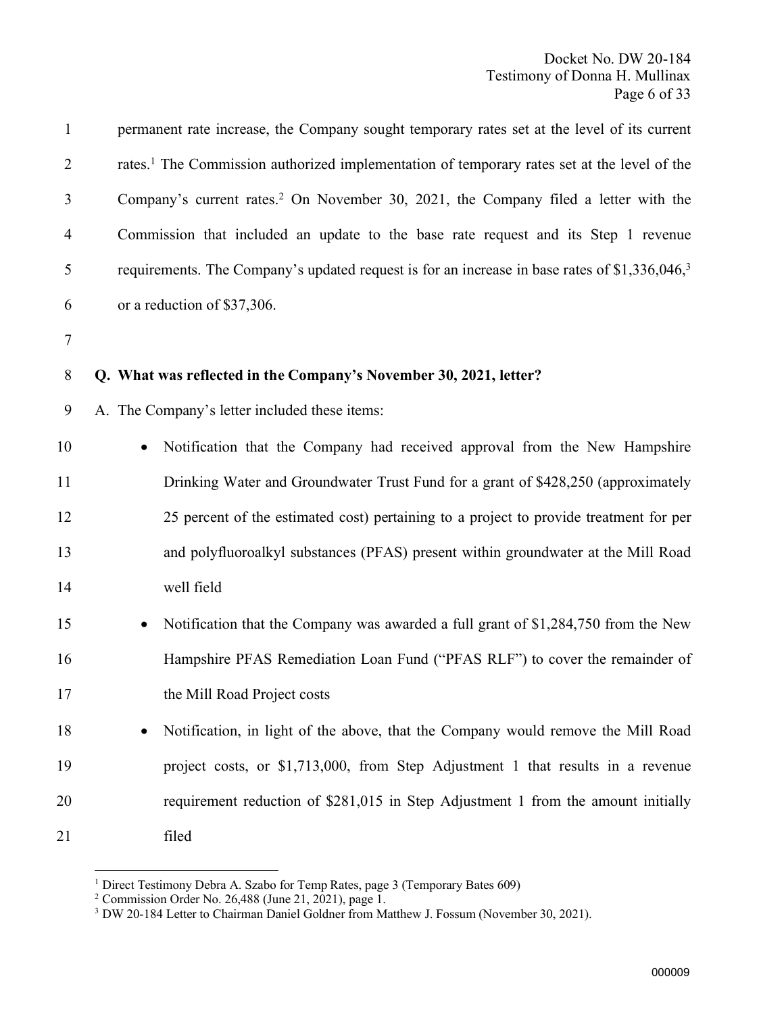| $\mathbf{1}$   | permanent rate increase, the Company sought temporary rates set at the level of its current               |
|----------------|-----------------------------------------------------------------------------------------------------------|
| $\overline{2}$ | rates. <sup>1</sup> The Commission authorized implementation of temporary rates set at the level of the   |
| 3              | Company's current rates. <sup>2</sup> On November 30, 2021, the Company filed a letter with the           |
| 4              | Commission that included an update to the base rate request and its Step 1 revenue                        |
| 5              | requirements. The Company's updated request is for an increase in base rates of \$1,336,046, <sup>3</sup> |
| 6              | or a reduction of \$37,306.                                                                               |
| $\tau$         |                                                                                                           |
| 8              | Q. What was reflected in the Company's November 30, 2021, letter?                                         |
| 9              | A. The Company's letter included these items:                                                             |
| 10             | Notification that the Company had received approval from the New Hampshire                                |
| 11             | Drinking Water and Groundwater Trust Fund for a grant of \$428,250 (approximately                         |
| 12             | 25 percent of the estimated cost) pertaining to a project to provide treatment for per                    |
| 13             | and polyfluoroalkyl substances (PFAS) present within groundwater at the Mill Road                         |
| 14             | well field                                                                                                |
| 15             | Notification that the Company was awarded a full grant of \$1,284,750 from the New                        |
| 16             | Hampshire PFAS Remediation Loan Fund ("PFAS RLF") to cover the remainder of                               |
| 17             | the Mill Road Project costs                                                                               |
| 18             | Notification, in light of the above, that the Company would remove the Mill Road                          |
| 19             | project costs, or \$1,713,000, from Step Adjustment 1 that results in a revenue                           |
| 20             | requirement reduction of \$281,015 in Step Adjustment 1 from the amount initially                         |
| 21             | filed                                                                                                     |

<sup>&</sup>lt;sup>1</sup> Direct Testimony Debra A. Szabo for Temp Rates, page 3 (Temporary Bates 609)

<sup>2</sup> Commission Order No. 26,488 (June 21, 2021), page 1.

<sup>&</sup>lt;sup>3</sup> DW 20-184 Letter to Chairman Daniel Goldner from Matthew J. Fossum (November 30, 2021).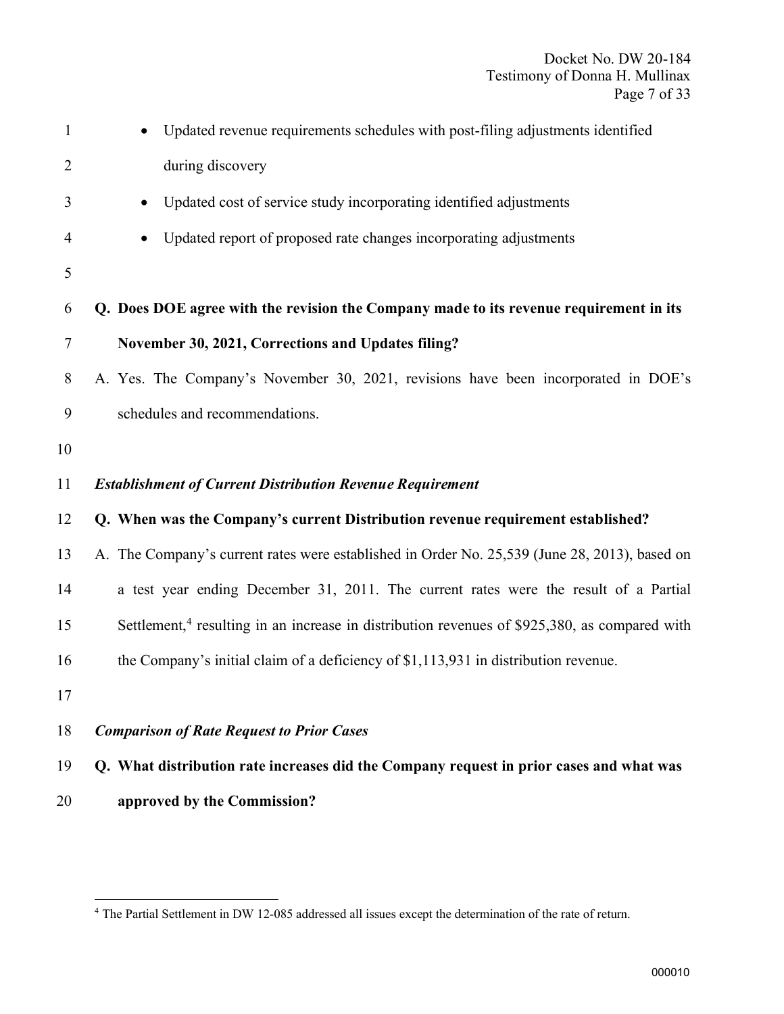| $\mathbf{1}$   | Updated revenue requirements schedules with post-filing adjustments identified                            |
|----------------|-----------------------------------------------------------------------------------------------------------|
| $\overline{2}$ | during discovery                                                                                          |
| 3              | Updated cost of service study incorporating identified adjustments<br>$\bullet$                           |
| 4              | Updated report of proposed rate changes incorporating adjustments<br>$\bullet$                            |
| 5              |                                                                                                           |
| 6              | Q. Does DOE agree with the revision the Company made to its revenue requirement in its                    |
| $\overline{7}$ | November 30, 2021, Corrections and Updates filing?                                                        |
| 8              | A. Yes. The Company's November 30, 2021, revisions have been incorporated in DOE's                        |
| 9              | schedules and recommendations.                                                                            |
| 10             |                                                                                                           |
| 11             | <b>Establishment of Current Distribution Revenue Requirement</b>                                          |
| 12             | Q. When was the Company's current Distribution revenue requirement established?                           |
| 13             | A. The Company's current rates were established in Order No. 25,539 (June 28, 2013), based on             |
| 14             | a test year ending December 31, 2011. The current rates were the result of a Partial                      |
| 15             | Settlement, <sup>4</sup> resulting in an increase in distribution revenues of \$925,380, as compared with |
| 16             | the Company's initial claim of a deficiency of \$1,113,931 in distribution revenue.                       |
| 17             |                                                                                                           |
| 18             | <b>Comparison of Rate Request to Prior Cases</b>                                                          |
| 19             | Q. What distribution rate increases did the Company request in prior cases and what was                   |

approved by the Commission?

The Partial Settlement in DW 12-085 addressed all issues except the determination of the rate of return.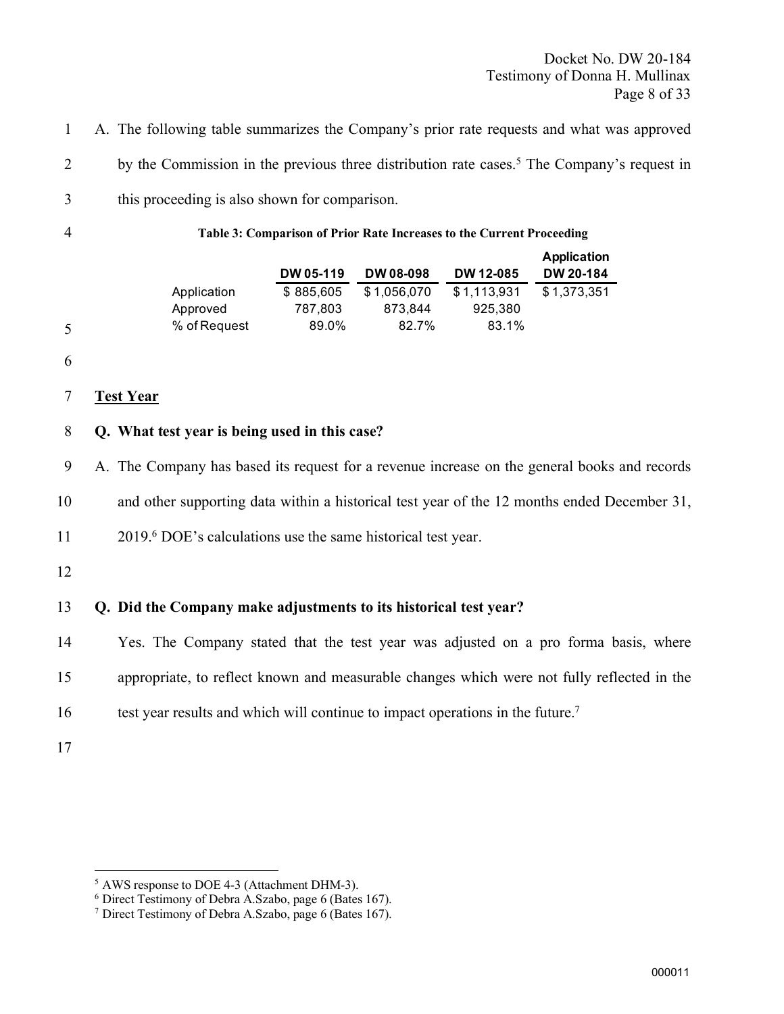Docket No. DW 20-184 Testimony of Donna H. Mullinax Page 8 of 33

1 A. The following table summarizes the Company's prior rate requests and what was approved

2 by the Commission in the previous three distribution rate cases.<sup>5</sup> The Company's request in

3 this proceeding is also shown for comparison.

4 Table 3: Comparison of Prior Rate Increases to the Current Proceeding

|           |             |             | Application |
|-----------|-------------|-------------|-------------|
| DW 05-119 | DW 08-098   | DW 12-085   | DW 20-184   |
| \$885,605 | \$1.056.070 | \$1,113,931 | \$1,373,351 |
| 787,803   | 873.844     | 925,380     |             |
| 89.0%     | 82.7%       | 83.1%       |             |
|           |             |             |             |

6

5

#### 7 Test Year

#### 8 Q. What test year is being used in this case?

9 A. The Company has based its request for a revenue increase on the general books and records

10 and other supporting data within a historical test year of the 12 months ended December 31,

11 2019.<sup>6</sup> DOE's calculations use the same historical test year.

12

#### 13 Q. Did the Company make adjustments to its historical test year?

14 Yes. The Company stated that the test year was adjusted on a pro forma basis, where

15 appropriate, to reflect known and measurable changes which were not fully reflected in the

16 test year results and which will continue to impact operations in the future.<sup>7</sup>

<sup>5</sup> AWS response to DOE 4-3 (Attachment DHM-3).

<sup>6</sup> Direct Testimony of Debra A.Szabo, page 6 (Bates 167).

<sup>&</sup>lt;sup>7</sup> Direct Testimony of Debra A.Szabo, page 6 (Bates 167).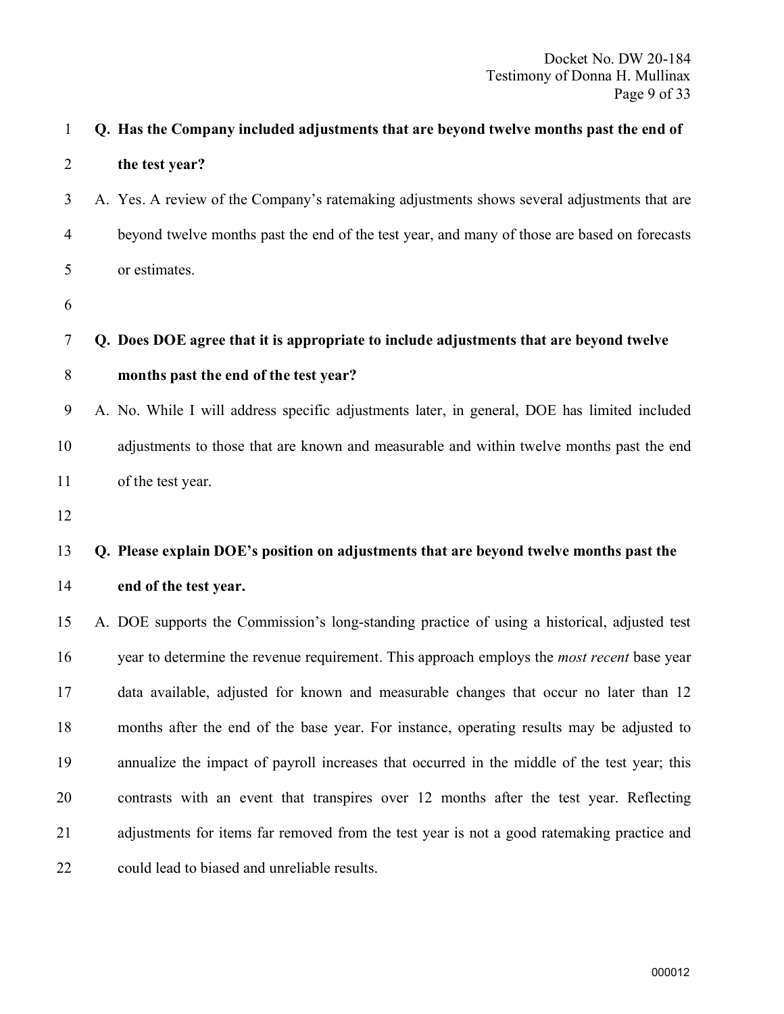| $\mathbf{1}$   | Q. Has the Company included adjustments that are beyond twelve months past the end of        |
|----------------|----------------------------------------------------------------------------------------------|
| $\overline{2}$ | the test year?                                                                               |
| 3              | A. Yes. A review of the Company's ratemaking adjustments shows several adjustments that are  |
| $\overline{4}$ | beyond twelve months past the end of the test year, and many of those are based on forecasts |
| 5              | or estimates.                                                                                |
| 6              |                                                                                              |
| 7              | Q. Does DOE agree that it is appropriate to include adjustments that are beyond twelve       |
| 8              | months past the end of the test year?                                                        |
| 9              | A. No. While I will address specific adjustments later, in general, DOE has limited included |
| 10             | adjustments to those that are known and measurable and within twelve months past the end     |
| 11             | of the test year.                                                                            |
| 12             |                                                                                              |
| 13             | Q. Please explain DOE's position on adjustments that are beyond twelve months past the       |
| 14             | end of the test year.                                                                        |
| 15             | A. DOE supports the Commission's long-standing practice of using a historical, adjusted test |
| 16             | year to determine the revenue requirement. This approach employs the most recent base year   |
| 17             | data available, adjusted for known and measurable changes that occur no later than 12        |
| 18             | months after the end of the base year. For instance, operating results may be adjusted to    |
| 19             | annualize the impact of payroll increases that occurred in the middle of the test year; this |
| 20             | contrasts with an event that transpires over 12 months after the test year. Reflecting       |
| 21             | adjustments for items far removed from the test year is not a good ratemaking practice and   |
| 22             | could lead to biased and unreliable results.                                                 |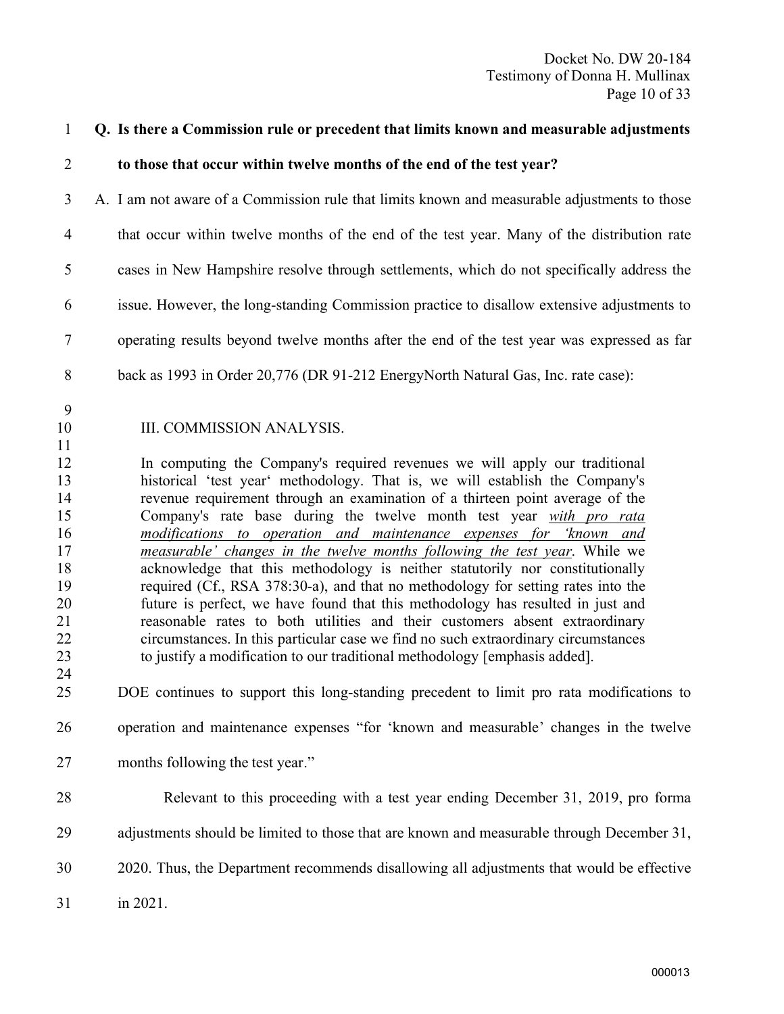| $\mathbf{1}$                                                                     | Q. Is there a Commission rule or precedent that limits known and measurable adjustments                                                                                                                                                                                                                                                                                                                                                                                                                                                                                                                                                                                                                                                                                                                                                                                                                                                                                                                                                                                       |
|----------------------------------------------------------------------------------|-------------------------------------------------------------------------------------------------------------------------------------------------------------------------------------------------------------------------------------------------------------------------------------------------------------------------------------------------------------------------------------------------------------------------------------------------------------------------------------------------------------------------------------------------------------------------------------------------------------------------------------------------------------------------------------------------------------------------------------------------------------------------------------------------------------------------------------------------------------------------------------------------------------------------------------------------------------------------------------------------------------------------------------------------------------------------------|
| $\overline{2}$                                                                   | to those that occur within twelve months of the end of the test year?                                                                                                                                                                                                                                                                                                                                                                                                                                                                                                                                                                                                                                                                                                                                                                                                                                                                                                                                                                                                         |
| 3                                                                                | A. I am not aware of a Commission rule that limits known and measurable adjustments to those                                                                                                                                                                                                                                                                                                                                                                                                                                                                                                                                                                                                                                                                                                                                                                                                                                                                                                                                                                                  |
| $\overline{4}$                                                                   | that occur within twelve months of the end of the test year. Many of the distribution rate                                                                                                                                                                                                                                                                                                                                                                                                                                                                                                                                                                                                                                                                                                                                                                                                                                                                                                                                                                                    |
| 5                                                                                | cases in New Hampshire resolve through settlements, which do not specifically address the                                                                                                                                                                                                                                                                                                                                                                                                                                                                                                                                                                                                                                                                                                                                                                                                                                                                                                                                                                                     |
| 6                                                                                | issue. However, the long-standing Commission practice to disallow extensive adjustments to                                                                                                                                                                                                                                                                                                                                                                                                                                                                                                                                                                                                                                                                                                                                                                                                                                                                                                                                                                                    |
| 7                                                                                | operating results beyond twelve months after the end of the test year was expressed as far                                                                                                                                                                                                                                                                                                                                                                                                                                                                                                                                                                                                                                                                                                                                                                                                                                                                                                                                                                                    |
| 8                                                                                | back as 1993 in Order 20,776 (DR 91-212 EnergyNorth Natural Gas, Inc. rate case):                                                                                                                                                                                                                                                                                                                                                                                                                                                                                                                                                                                                                                                                                                                                                                                                                                                                                                                                                                                             |
| 9<br>10<br>11                                                                    | III. COMMISSION ANALYSIS.                                                                                                                                                                                                                                                                                                                                                                                                                                                                                                                                                                                                                                                                                                                                                                                                                                                                                                                                                                                                                                                     |
| 12<br>13<br>14<br>15<br>16<br>17<br>18<br>19<br>20<br>21<br>22<br>23<br>24<br>25 | In computing the Company's required revenues we will apply our traditional<br>historical 'test year' methodology. That is, we will establish the Company's<br>revenue requirement through an examination of a thirteen point average of the<br>Company's rate base during the twelve month test year with pro rata<br>modifications to operation and maintenance expenses for 'known and<br>measurable' changes in the twelve months following the test year. While we<br>acknowledge that this methodology is neither statutorily nor constitutionally<br>required (Cf., RSA 378:30-a), and that no methodology for setting rates into the<br>future is perfect, we have found that this methodology has resulted in just and<br>reasonable rates to both utilities and their customers absent extraordinary<br>circumstances. In this particular case we find no such extraordinary circumstances<br>to justify a modification to our traditional methodology [emphasis added].<br>DOE continues to support this long-standing precedent to limit pro rata modifications to |
| 26                                                                               | operation and maintenance expenses "for 'known and measurable' changes in the twelve                                                                                                                                                                                                                                                                                                                                                                                                                                                                                                                                                                                                                                                                                                                                                                                                                                                                                                                                                                                          |
| 27                                                                               | months following the test year."                                                                                                                                                                                                                                                                                                                                                                                                                                                                                                                                                                                                                                                                                                                                                                                                                                                                                                                                                                                                                                              |
| 28                                                                               | Relevant to this proceeding with a test year ending December 31, 2019, pro forma                                                                                                                                                                                                                                                                                                                                                                                                                                                                                                                                                                                                                                                                                                                                                                                                                                                                                                                                                                                              |
| 29                                                                               | adjustments should be limited to those that are known and measurable through December 31,                                                                                                                                                                                                                                                                                                                                                                                                                                                                                                                                                                                                                                                                                                                                                                                                                                                                                                                                                                                     |
| 30                                                                               | 2020. Thus, the Department recommends disallowing all adjustments that would be effective                                                                                                                                                                                                                                                                                                                                                                                                                                                                                                                                                                                                                                                                                                                                                                                                                                                                                                                                                                                     |
| 31                                                                               | in 2021.                                                                                                                                                                                                                                                                                                                                                                                                                                                                                                                                                                                                                                                                                                                                                                                                                                                                                                                                                                                                                                                                      |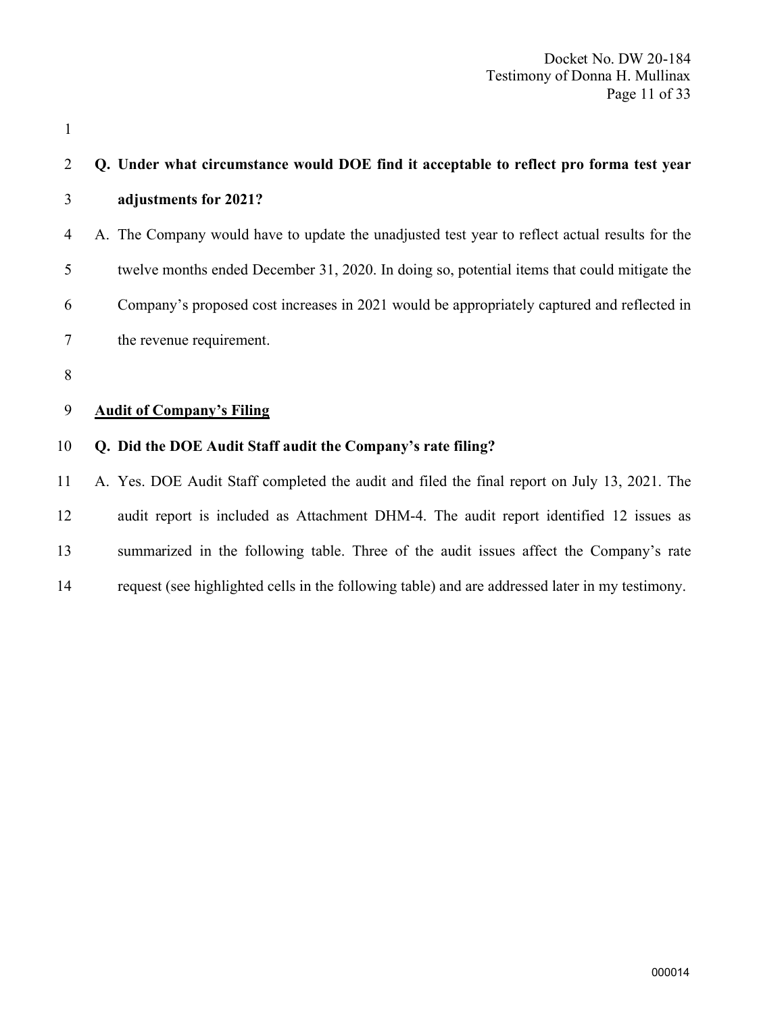| 2      | Q. Under what circumstance would DOE find it acceptable to reflect pro forma test year          |
|--------|-------------------------------------------------------------------------------------------------|
| 3      | adjustments for 2021?                                                                           |
| 4      | A. The Company would have to update the unadjusted test year to reflect actual results for the  |
| 5      | twelve months ended December 31, 2020. In doing so, potential items that could mitigate the     |
| 6      | Company's proposed cost increases in 2021 would be appropriately captured and reflected in      |
| $\tau$ | the revenue requirement.                                                                        |
| 8      |                                                                                                 |
| 9      | <b>Audit of Company's Filing</b>                                                                |
| 10     | Q. Did the DOE Audit Staff audit the Company's rate filing?                                     |
| 11     | A. Yes. DOE Audit Staff completed the audit and filed the final report on July 13, 2021. The    |
| 12     | audit report is included as Attachment DHM-4. The audit report identified 12 issues as          |
| 13     | summarized in the following table. Three of the audit issues affect the Company's rate          |
| 14     | request (see highlighted cells in the following table) and are addressed later in my testimony. |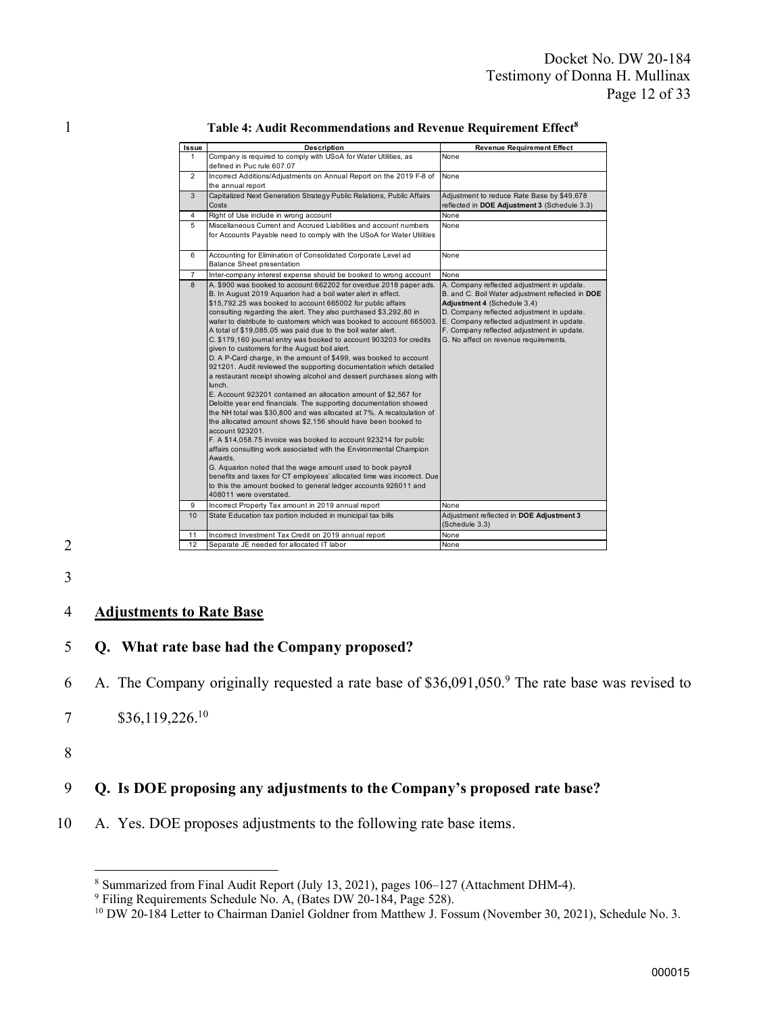| Issue          | <b>Description</b>                                                                                                                                                                                                                                                                                                                                                                                                                                                                                                                                                                                                                                                                                                                                                                                                                                                                                                                                                                                                                                                                                                                                                                                                                                                                                                                                                                                                                                                   | <b>Revenue Requirement Effect</b>                                                                                                                                                                                                                                                                                |
|----------------|----------------------------------------------------------------------------------------------------------------------------------------------------------------------------------------------------------------------------------------------------------------------------------------------------------------------------------------------------------------------------------------------------------------------------------------------------------------------------------------------------------------------------------------------------------------------------------------------------------------------------------------------------------------------------------------------------------------------------------------------------------------------------------------------------------------------------------------------------------------------------------------------------------------------------------------------------------------------------------------------------------------------------------------------------------------------------------------------------------------------------------------------------------------------------------------------------------------------------------------------------------------------------------------------------------------------------------------------------------------------------------------------------------------------------------------------------------------------|------------------------------------------------------------------------------------------------------------------------------------------------------------------------------------------------------------------------------------------------------------------------------------------------------------------|
| $\mathbf{1}$   | Company is required to comply with USoA for Water Utilities, as<br>defined in Puc rule 607.07                                                                                                                                                                                                                                                                                                                                                                                                                                                                                                                                                                                                                                                                                                                                                                                                                                                                                                                                                                                                                                                                                                                                                                                                                                                                                                                                                                        | None                                                                                                                                                                                                                                                                                                             |
| $\overline{2}$ | Incorrect Additions/Adjustments on Annual Report on the 2019 F-8 of<br>the annual report                                                                                                                                                                                                                                                                                                                                                                                                                                                                                                                                                                                                                                                                                                                                                                                                                                                                                                                                                                                                                                                                                                                                                                                                                                                                                                                                                                             | None                                                                                                                                                                                                                                                                                                             |
| 3              | Capitalized Next Generation Strategy Public Relations, Public Affairs<br>Costs                                                                                                                                                                                                                                                                                                                                                                                                                                                                                                                                                                                                                                                                                                                                                                                                                                                                                                                                                                                                                                                                                                                                                                                                                                                                                                                                                                                       | Adjustment to reduce Rate Base by \$49,678<br>reflected in DOE Adjustment 3 (Schedule 3.3)                                                                                                                                                                                                                       |
| 4              | Right of Use include in wrong account                                                                                                                                                                                                                                                                                                                                                                                                                                                                                                                                                                                                                                                                                                                                                                                                                                                                                                                                                                                                                                                                                                                                                                                                                                                                                                                                                                                                                                | None                                                                                                                                                                                                                                                                                                             |
| 5              | Miscellaneous Current and Accrued Liabilities and account numbers<br>for Accounts Payable need to comply with the USoA for Water Utilities                                                                                                                                                                                                                                                                                                                                                                                                                                                                                                                                                                                                                                                                                                                                                                                                                                                                                                                                                                                                                                                                                                                                                                                                                                                                                                                           | None                                                                                                                                                                                                                                                                                                             |
| 6              | Accounting for Elimination of Consolidated Corporate Level ad<br><b>Balance Sheet presentation</b>                                                                                                                                                                                                                                                                                                                                                                                                                                                                                                                                                                                                                                                                                                                                                                                                                                                                                                                                                                                                                                                                                                                                                                                                                                                                                                                                                                   | None                                                                                                                                                                                                                                                                                                             |
| $\overline{7}$ | Inter-company interest expense should be booked to wrong account                                                                                                                                                                                                                                                                                                                                                                                                                                                                                                                                                                                                                                                                                                                                                                                                                                                                                                                                                                                                                                                                                                                                                                                                                                                                                                                                                                                                     | None                                                                                                                                                                                                                                                                                                             |
| 8              | A. \$900 was booked to account 662202 for overdue 2018 paper ads.<br>B. In August 2019 Aquarion had a boil water alert in effect.<br>\$15,792.25 was booked to account 665002 for public affairs<br>consulting regarding the alert. They also purchased \$3,292.80 in<br>water to distribute to customers which was booked to account 665003.<br>A total of \$19,085.05 was paid due to the boil water alert.<br>C. \$179,160 journal entry was booked to account 903203 for credits<br>given to customers for the August boil alert.<br>D. A P-Card charge, in the amount of \$499, was booked to account<br>921201. Audit reviewed the supporting documentation which detailed<br>a restaurant receipt showing alcohol and dessert purchases along with<br>lunch.<br>E. Account 923201 contained an allocation amount of \$2,567 for<br>Deloitte year end financials. The supporting documentation showed<br>the NH total was \$30,800 and was allocated at 7%. A recalculation of<br>the allocated amount shows \$2,156 should have been booked to<br>account 923201.<br>F. A \$14,058.75 invoice was booked to account 923214 for public<br>affairs consulting work associated with the Environmental Champion<br>Awards.<br>G. Aquarion noted that the wage amount used to book payroll<br>benefits and taxes for CT employees' allocated time was incorrect. Due<br>to this the amount booked to general ledger accounts 926011 and<br>408011 were overstated. | A. Company reflected adjustment in update.<br>B. and C. Boil Water adjustment reflected in DOE<br>Adjustment 4 (Schedule 3.4)<br>D. Company reflected adjustment in update.<br>E. Company reflected adjustment in update.<br>F. Company reflected adjustment in update.<br>G. No affect on revenue requirements. |
| 9              | Incorrect Property Tax amount in 2019 annual report                                                                                                                                                                                                                                                                                                                                                                                                                                                                                                                                                                                                                                                                                                                                                                                                                                                                                                                                                                                                                                                                                                                                                                                                                                                                                                                                                                                                                  | None                                                                                                                                                                                                                                                                                                             |
| 10             | State Education tax portion included in municipal tax bills                                                                                                                                                                                                                                                                                                                                                                                                                                                                                                                                                                                                                                                                                                                                                                                                                                                                                                                                                                                                                                                                                                                                                                                                                                                                                                                                                                                                          | Adjustment reflected in DOE Adjustment 3<br>(Schedule 3.3)                                                                                                                                                                                                                                                       |
| 11             | Incorrect Investment Tax Credit on 2019 annual report                                                                                                                                                                                                                                                                                                                                                                                                                                                                                                                                                                                                                                                                                                                                                                                                                                                                                                                                                                                                                                                                                                                                                                                                                                                                                                                                                                                                                | None                                                                                                                                                                                                                                                                                                             |
| 12             | Separate JE needed for allocated IT labor                                                                                                                                                                                                                                                                                                                                                                                                                                                                                                                                                                                                                                                                                                                                                                                                                                                                                                                                                                                                                                                                                                                                                                                                                                                                                                                                                                                                                            | None                                                                                                                                                                                                                                                                                                             |

#### 1 1 Table 4: Audit Recommendations and Revenue Requirement Effect<sup>8</sup>



### 3

#### 4 Adjustments to Rate Base

#### 5 Q. What rate base had the Company proposed?

6 A. The Company originally requested a rate base of  $$36,091,050$ . The rate base was revised to

7 \$36,119,226.<sup>10</sup>

8

#### 9 Q. Is DOE proposing any adjustments to the Company's proposed rate base?

10 A. Yes. DOE proposes adjustments to the following rate base items.

<sup>8</sup> Summarized from Final Audit Report (July 13, 2021), pages 106–127 (Attachment DHM-4).

<sup>9</sup> Filing Requirements Schedule No. A, (Bates DW 20-184, Page 528).

<sup>&</sup>lt;sup>10</sup> DW 20-184 Letter to Chairman Daniel Goldner from Matthew J. Fossum (November 30, 2021), Schedule No. 3.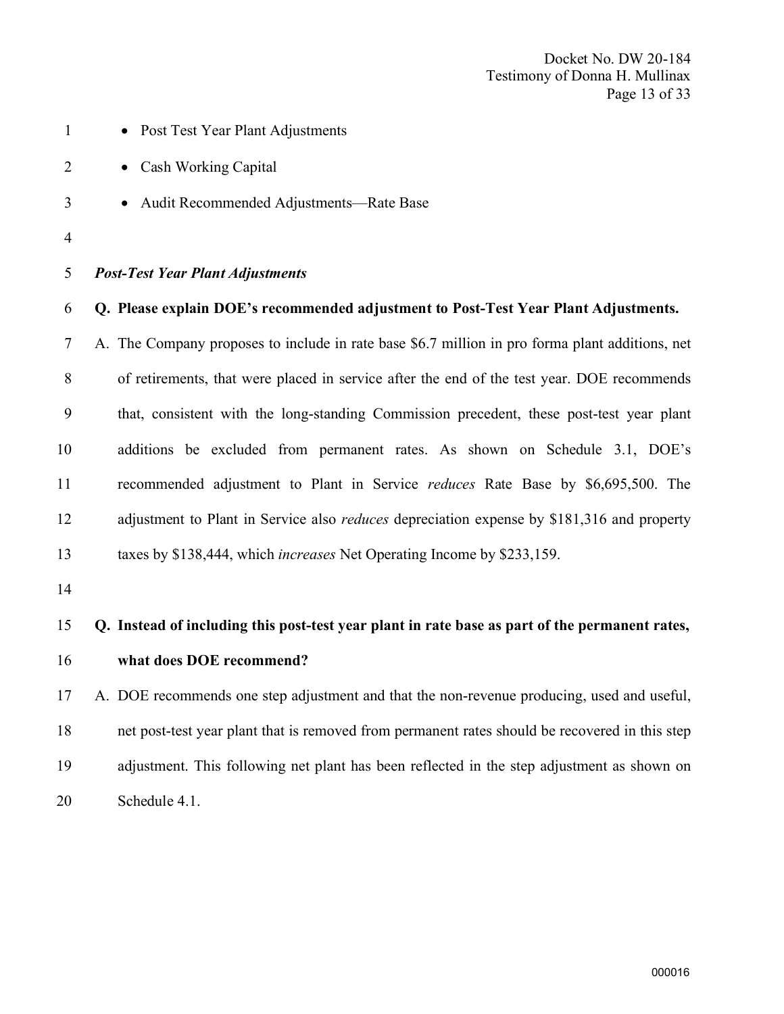- 1 Post Test Year Plant Adjustments
- 2 Cash Working Capital
- Audit Recommended Adjustments—Rate Base
- 

#### Post-Test Year Plant Adjustments

#### Q. Please explain DOE's recommended adjustment to Post-Test Year Plant Adjustments.

 A. The Company proposes to include in rate base \$6.7 million in pro forma plant additions, net of retirements, that were placed in service after the end of the test year. DOE recommends that, consistent with the long-standing Commission precedent, these post-test year plant additions be excluded from permanent rates. As shown on Schedule 3.1, DOE's recommended adjustment to Plant in Service reduces Rate Base by \$6,695,500. The 12 adjustment to Plant in Service also *reduces* depreciation expense by \$181,316 and property taxes by \$138,444, which increases Net Operating Income by \$233,159.

# Q. Instead of including this post-test year plant in rate base as part of the permanent rates,

#### what does DOE recommend?

 A. DOE recommends one step adjustment and that the non-revenue producing, used and useful, net post-test year plant that is removed from permanent rates should be recovered in this step adjustment. This following net plant has been reflected in the step adjustment as shown on Schedule 4.1.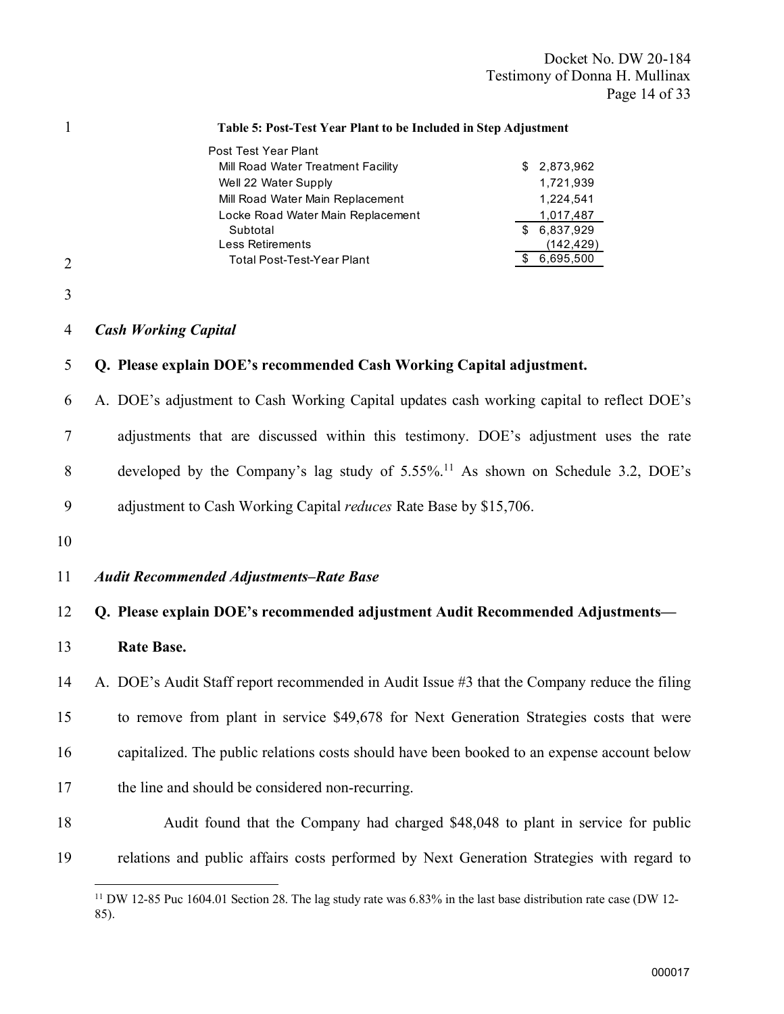Docket No. DW 20-184 Testimony of Donna H. Mullinax Page 14 of 33

1 Table 5: Post-Test Year Plant to be Included in Step Adjustment 2 3 4 Cash Working Capital 5 Q. Please explain DOE's recommended Cash Working Capital adjustment. 6 A. DOE's adjustment to Cash Working Capital updates cash working capital to reflect DOE's 7 adjustments that are discussed within this testimony. DOE's adjustment uses the rate 8 developed by the Company's lag study of  $5.55\%$ .<sup>11</sup> As shown on Schedule 3.2, DOE's 9 adjustment to Cash Working Capital *reduces* Rate Base by \$15,706. 10 11 Audit Recommended Adjustments–Rate Base 12 Q. Please explain DOE's recommended adjustment Audit Recommended Adjustments— 13 Rate Base. 14 A. DOE's Audit Staff report recommended in Audit Issue #3 that the Company reduce the filing 15 to remove from plant in service \$49,678 for Next Generation Strategies costs that were 16 capitalized. The public relations costs should have been booked to an expense account below 17 the line and should be considered non-recurring. 18 Audit found that the Company had charged \$48,048 to plant in service for public 19 relations and public affairs costs performed by Next Generation Strategies with regard to Post Test Year Plant Mill Road Water Treatment Facility **\$ 2,873,962** Well 22 Water Supply 1,721,939 Mill Road Water Main Replacement 1,224,541 Locke Road Water Main Replacement 1,017,487 Subtotal \$ 6,837,929 Less Retirements (142,429) Total Post-Test-Year Plant  $\overline{\phantom{0}}$  6,695,500

<sup>&</sup>lt;sup>11</sup> DW 12-85 Puc 1604.01 Section 28. The lag study rate was 6.83% in the last base distribution rate case (DW 12-85).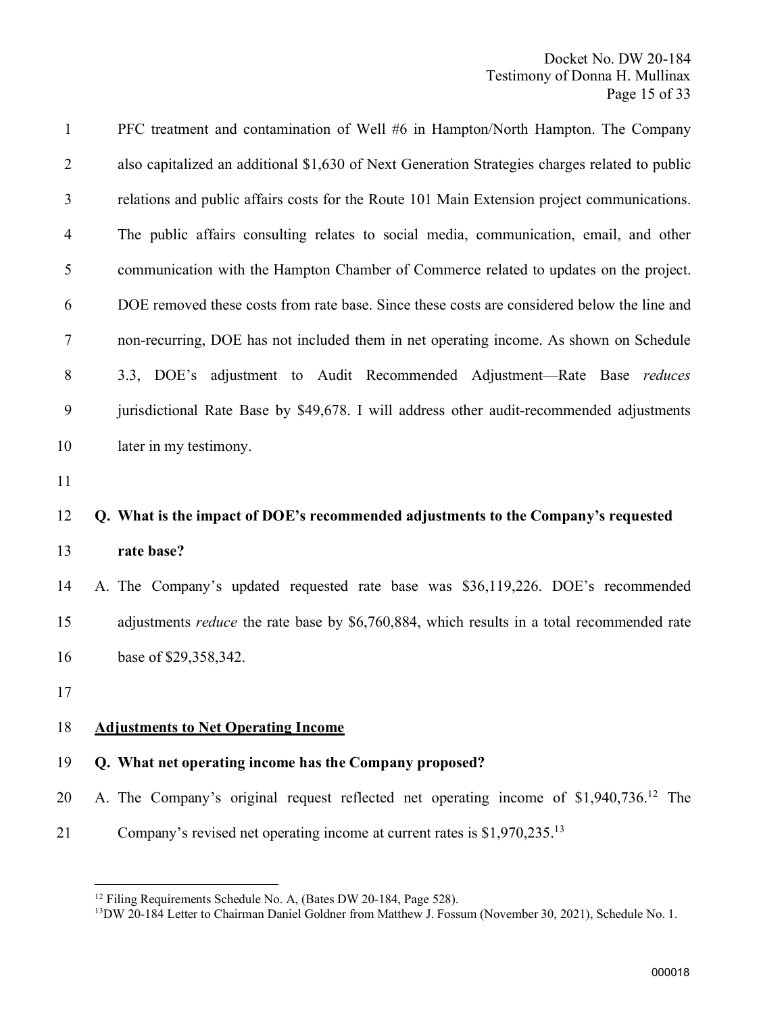Docket No. DW 20-184 Testimony of Donna H. Mullinax Page 15 of 33

| $\mathbf{1}$   | PFC treatment and contamination of Well #6 in Hampton/North Hampton. The Company                   |
|----------------|----------------------------------------------------------------------------------------------------|
| $\overline{2}$ | also capitalized an additional \$1,630 of Next Generation Strategies charges related to public     |
| 3              | relations and public affairs costs for the Route 101 Main Extension project communications.        |
| 4              | The public affairs consulting relates to social media, communication, email, and other             |
| 5              | communication with the Hampton Chamber of Commerce related to updates on the project.              |
| 6              | DOE removed these costs from rate base. Since these costs are considered below the line and        |
| 7              | non-recurring, DOE has not included them in net operating income. As shown on Schedule             |
| 8              | 3.3, DOE's adjustment to Audit Recommended Adjustment-Rate Base reduces                            |
| 9              | jurisdictional Rate Base by \$49,678. I will address other audit-recommended adjustments           |
| 10             | later in my testimony.                                                                             |
| 11             |                                                                                                    |
| 12             | Q. What is the impact of DOE's recommended adjustments to the Company's requested                  |
| 13             | rate base?                                                                                         |
| 14             | A. The Company's updated requested rate base was \$36,119,226. DOE's recommended                   |
| 15             | adjustments <i>reduce</i> the rate base by \$6,760,884, which results in a total recommended rate  |
| 16             | base of \$29,358,342.                                                                              |
| 17             |                                                                                                    |
| 18             | <b>Adjustments to Net Operating Income</b>                                                         |
| 19             | Q. What net operating income has the Company proposed?                                             |
| 20             | A. The Company's original request reflected net operating income of \$1,940,736. <sup>12</sup> The |
|                | Company's revised net operating income at current rates is $$1,970,235$ . <sup>13</sup>            |

<sup>&</sup>lt;sup>12</sup> Filing Requirements Schedule No. A, (Bates DW 20-184, Page 528).

<sup>&</sup>lt;sup>13</sup>DW 20-184 Letter to Chairman Daniel Goldner from Matthew J. Fossum (November 30, 2021), Schedule No. 1.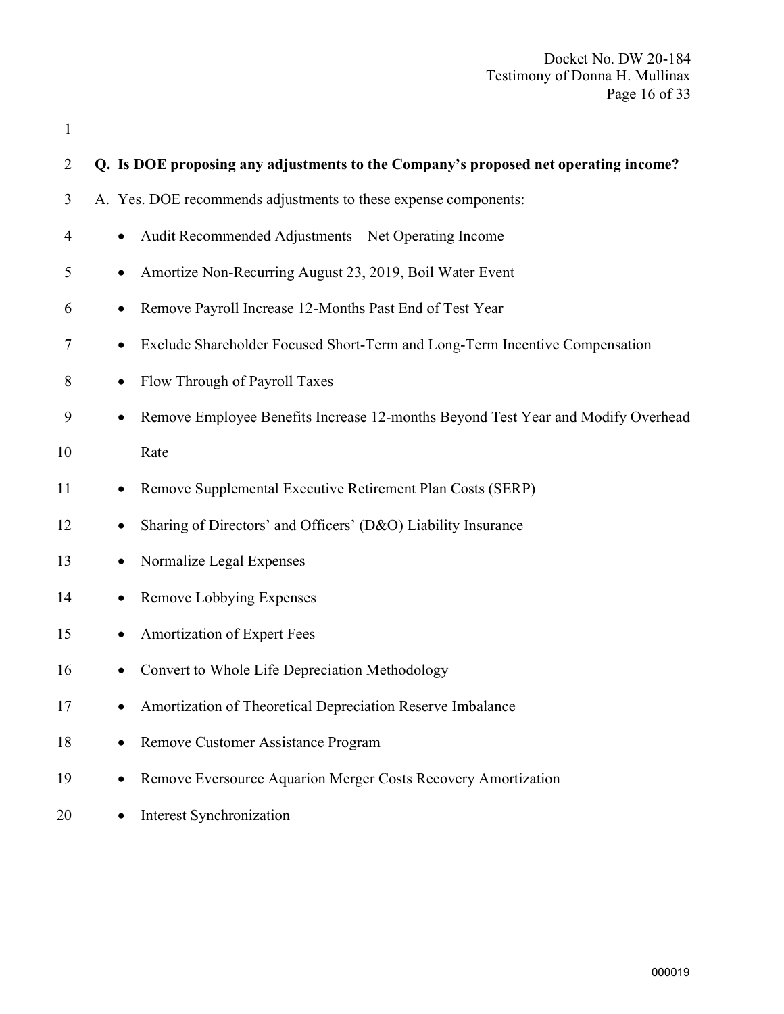| $\mathbf{1}$   |                                                                                               |
|----------------|-----------------------------------------------------------------------------------------------|
| $\overline{2}$ | Q. Is DOE proposing any adjustments to the Company's proposed net operating income?           |
| 3              | A. Yes. DOE recommends adjustments to these expense components:                               |
| 4              | Audit Recommended Adjustments—Net Operating Income<br>$\bullet$                               |
| 5              | Amortize Non-Recurring August 23, 2019, Boil Water Event                                      |
| 6              | Remove Payroll Increase 12-Months Past End of Test Year                                       |
| 7              | Exclude Shareholder Focused Short-Term and Long-Term Incentive Compensation                   |
| 8              | Flow Through of Payroll Taxes                                                                 |
| 9              | Remove Employee Benefits Increase 12-months Beyond Test Year and Modify Overhead<br>$\bullet$ |
| 10             | Rate                                                                                          |
| 11             | Remove Supplemental Executive Retirement Plan Costs (SERP)                                    |
| 12             | Sharing of Directors' and Officers' (D&O) Liability Insurance                                 |
| 13             | Normalize Legal Expenses                                                                      |
| 14             | Remove Lobbying Expenses                                                                      |
| 15             | Amortization of Expert Fees                                                                   |
| 16             | Convert to Whole Life Depreciation Methodology                                                |
| 17             | Amortization of Theoretical Depreciation Reserve Imbalance                                    |
| 18             | Remove Customer Assistance Program<br>$\bullet$                                               |
| 19             | Remove Eversource Aquarion Merger Costs Recovery Amortization<br>$\bullet$                    |

20 • Interest Synchronization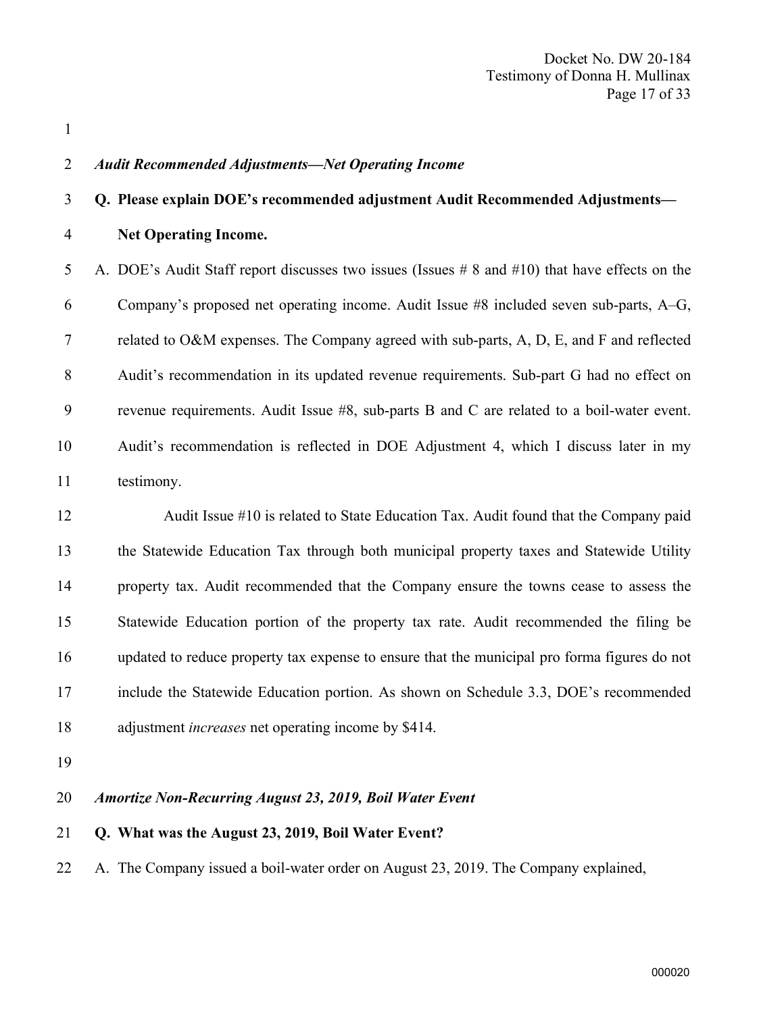#### Audit Recommended Adjustments—Net Operating Income

#### Q. Please explain DOE's recommended adjustment Audit Recommended Adjustments—

Net Operating Income.

 A. DOE's Audit Staff report discusses two issues (Issues # 8 and #10) that have effects on the Company's proposed net operating income. Audit Issue #8 included seven sub-parts, A–G, related to O&M expenses. The Company agreed with sub-parts, A, D, E, and F and reflected Audit's recommendation in its updated revenue requirements. Sub-part G had no effect on revenue requirements. Audit Issue #8, sub-parts B and C are related to a boil-water event. Audit's recommendation is reflected in DOE Adjustment 4, which I discuss later in my testimony.

 Audit Issue #10 is related to State Education Tax. Audit found that the Company paid the Statewide Education Tax through both municipal property taxes and Statewide Utility property tax. Audit recommended that the Company ensure the towns cease to assess the Statewide Education portion of the property tax rate. Audit recommended the filing be updated to reduce property tax expense to ensure that the municipal pro forma figures do not include the Statewide Education portion. As shown on Schedule 3.3, DOE's recommended 18 adjustment *increases* net operating income by \$414.

#### Amortize Non-Recurring August 23, 2019, Boil Water Event

#### Q. What was the August 23, 2019, Boil Water Event?

A. The Company issued a boil-water order on August 23, 2019. The Company explained,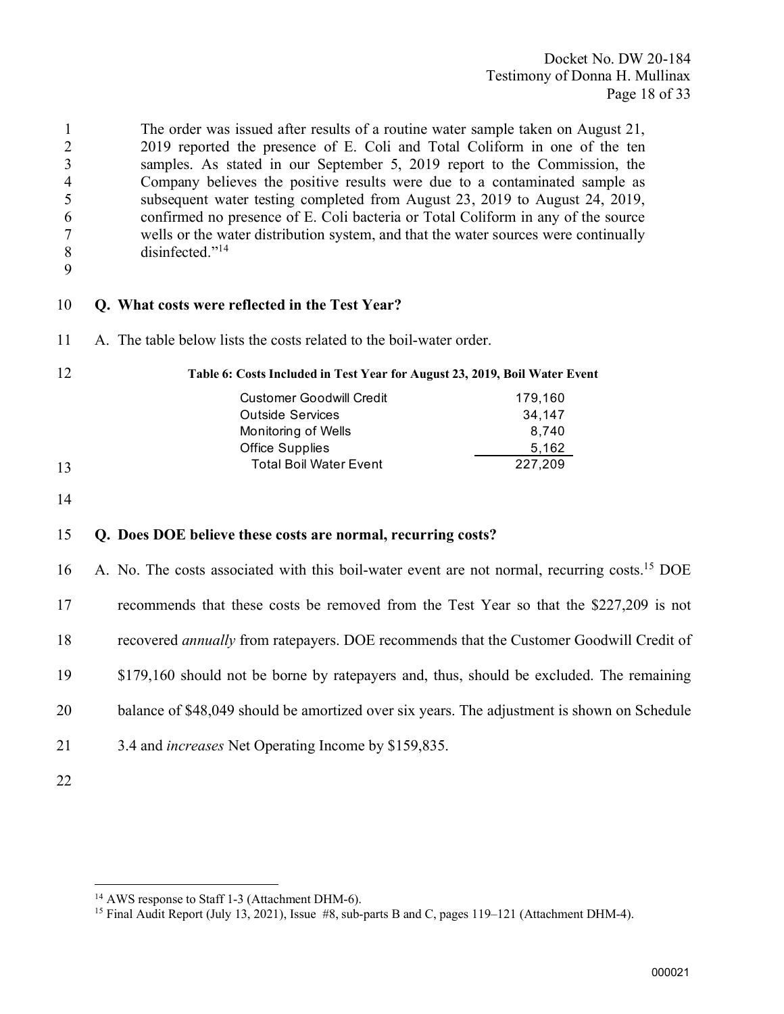The order was issued after results of a routine water sample taken on August 21, 2019 reported the presence of E. Coli and Total Coliform in one of the ten samples. As stated in our September 5, 2019 report to the Commission, the Company believes the positive results were due to a contaminated sample as subsequent water testing completed from August 23, 2019 to August 24, 2019, confirmed no presence of E. Coli bacteria or Total Coliform in any of the source wells or the water distribution system, and that the water sources were continually 8 disinfected."<sup>14</sup>

#### Q. What costs were reflected in the Test Year?

A. The table below lists the costs related to the boil-water order.

| 12 | Table 6: Costs Included in Test Year for August 23, 2019, Boil Water Event |         |
|----|----------------------------------------------------------------------------|---------|
|    | <b>Customer Goodwill Credit</b>                                            | 179,160 |
|    | <b>Outside Services</b>                                                    | 34.147  |
|    | Monitoring of Wells                                                        | 8.740   |
|    | <b>Office Supplies</b>                                                     | 5,162   |
| 13 | <b>Total Boil Water Event</b>                                              | 227.209 |

#### Q. Does DOE believe these costs are normal, recurring costs?

16 A. No. The costs associated with this boil-water event are not normal, recurring costs.<sup>15</sup> DOE recommends that these costs be removed from the Test Year so that the \$227,209 is not 18 recovered *annually* from ratepayers. DOE recommends that the Customer Goodwill Credit of \$179,160 should not be borne by ratepayers and, thus, should be excluded. The remaining 20 balance of \$48,049 should be amortized over six years. The adjustment is shown on Schedule 3.4 and increases Net Operating Income by \$159,835.

AWS response to Staff 1-3 (Attachment DHM-6).

Final Audit Report (July 13, 2021), Issue #8, sub-parts B and C, pages 119–121 (Attachment DHM-4).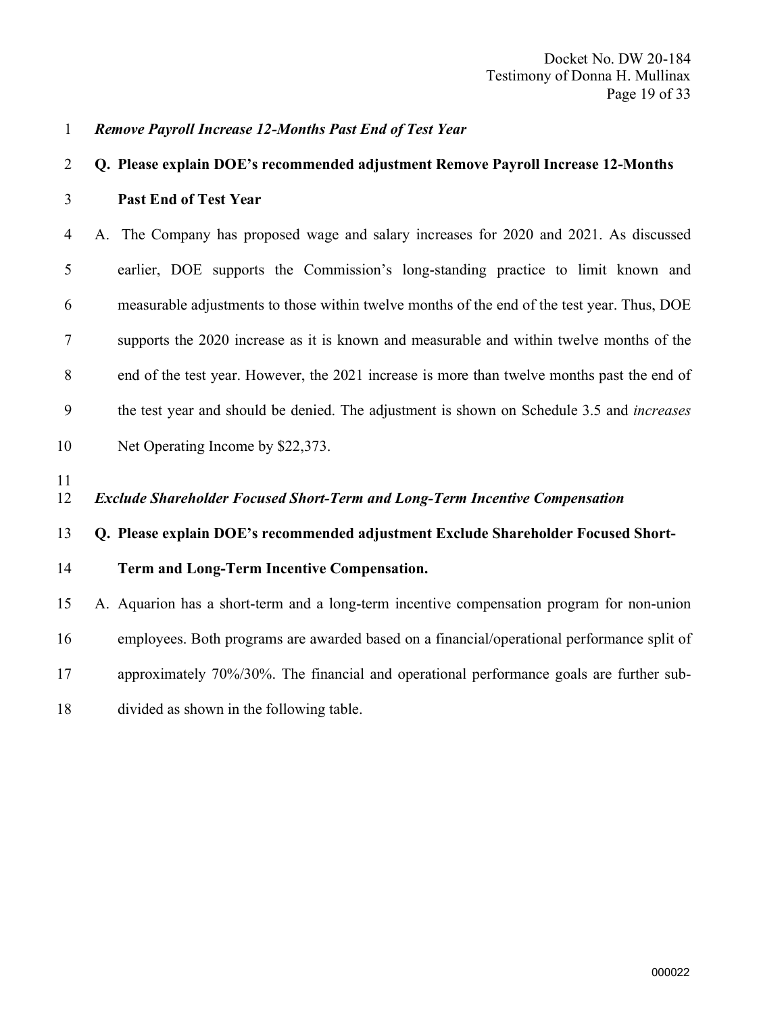#### Remove Payroll Increase 12-Months Past End of Test Year

## Q. Please explain DOE's recommended adjustment Remove Payroll Increase 12-Months Past End of Test Year

 A. The Company has proposed wage and salary increases for 2020 and 2021. As discussed earlier, DOE supports the Commission's long-standing practice to limit known and measurable adjustments to those within twelve months of the end of the test year. Thus, DOE supports the 2020 increase as it is known and measurable and within twelve months of the end of the test year. However, the 2021 increase is more than twelve months past the end of the test year and should be denied. The adjustment is shown on Schedule 3.5 and increases Net Operating Income by \$22,373.

Exclude Shareholder Focused Short-Term and Long-Term Incentive Compensation

#### Q. Please explain DOE's recommended adjustment Exclude Shareholder Focused Short-

#### Term and Long-Term Incentive Compensation.

 A. Aquarion has a short-term and a long-term incentive compensation program for non-union employees. Both programs are awarded based on a financial/operational performance split of approximately 70%/30%. The financial and operational performance goals are further sub-divided as shown in the following table.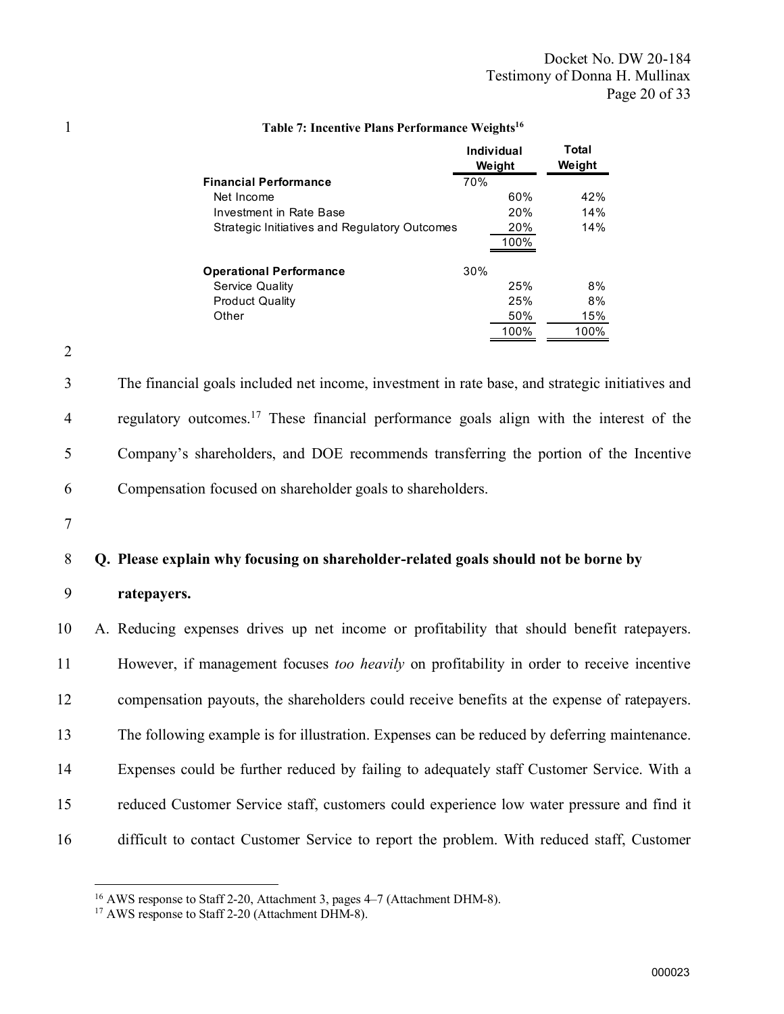|                                               |     | Individual<br>Weight | Total<br>Weight |
|-----------------------------------------------|-----|----------------------|-----------------|
| <b>Financial Performance</b>                  | 70% |                      |                 |
| Net Income                                    |     | 60%                  | 42%             |
| Investment in Rate Base                       |     | 20%                  | 14%             |
| Strategic Initiatives and Regulatory Outcomes |     | 20%<br>100%          | 14%             |
| <b>Operational Performance</b>                | 30% |                      |                 |
| Service Quality                               |     | 25%                  | 8%              |
| <b>Product Quality</b>                        |     | 25%                  | 8%              |
| Other                                         |     | 50%                  | 15%             |
|                                               |     | 100%                 | 100%            |

#### 1 Table 7: Incentive Plans Performance Weights<sup>16</sup>

3 The financial goals included net income, investment in rate base, and strategic initiatives and 4 regulatory outcomes.<sup>17</sup> These financial performance goals align with the interest of the 5 Company's shareholders, and DOE recommends transferring the portion of the Incentive

6 Compensation focused on shareholder goals to shareholders.

7

2

#### 8 Q. Please explain why focusing on shareholder-related goals should not be borne by

#### 9 ratepayers.

 A. Reducing expenses drives up net income or profitability that should benefit ratepayers. However, if management focuses too heavily on profitability in order to receive incentive compensation payouts, the shareholders could receive benefits at the expense of ratepayers. The following example is for illustration. Expenses can be reduced by deferring maintenance. Expenses could be further reduced by failing to adequately staff Customer Service. With a reduced Customer Service staff, customers could experience low water pressure and find it difficult to contact Customer Service to report the problem. With reduced staff, Customer

<sup>16</sup> AWS response to Staff 2-20, Attachment 3, pages 4–7 (Attachment DHM-8).

<sup>&</sup>lt;sup>17</sup> AWS response to Staff 2-20 (Attachment DHM-8).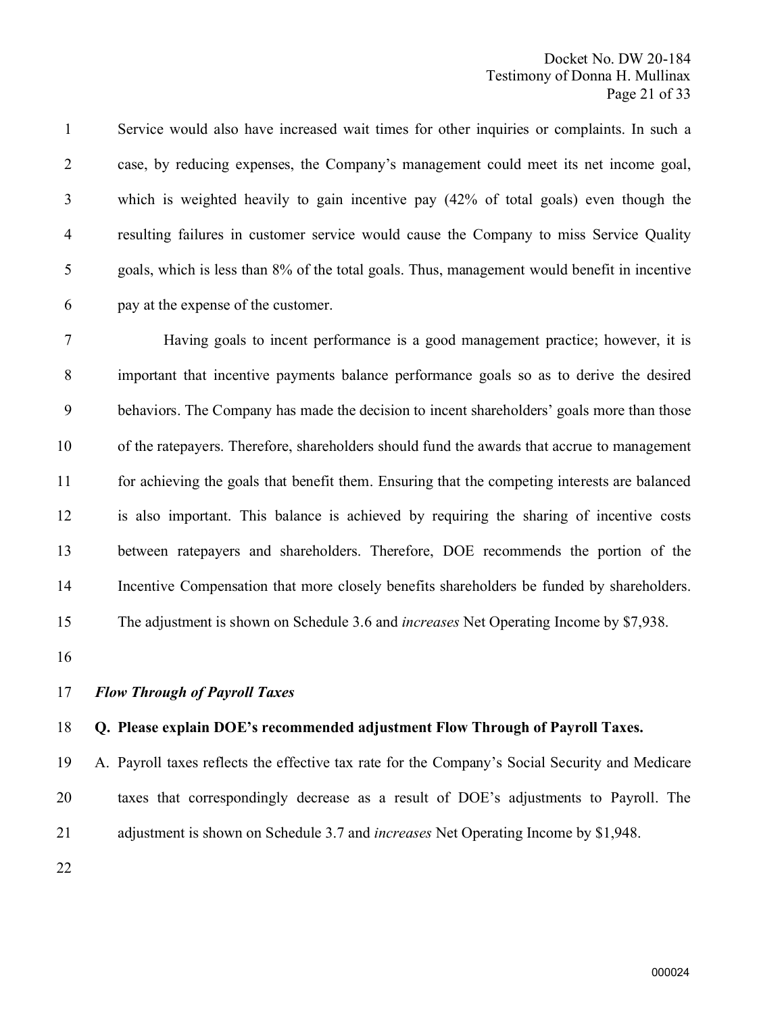Service would also have increased wait times for other inquiries or complaints. In such a case, by reducing expenses, the Company's management could meet its net income goal, which is weighted heavily to gain incentive pay (42% of total goals) even though the resulting failures in customer service would cause the Company to miss Service Quality goals, which is less than 8% of the total goals. Thus, management would benefit in incentive pay at the expense of the customer.

 Having goals to incent performance is a good management practice; however, it is important that incentive payments balance performance goals so as to derive the desired behaviors. The Company has made the decision to incent shareholders' goals more than those of the ratepayers. Therefore, shareholders should fund the awards that accrue to management for achieving the goals that benefit them. Ensuring that the competing interests are balanced is also important. This balance is achieved by requiring the sharing of incentive costs between ratepayers and shareholders. Therefore, DOE recommends the portion of the Incentive Compensation that more closely benefits shareholders be funded by shareholders. 15 The adjustment is shown on Schedule 3.6 and *increases* Net Operating Income by \$7,938.

Flow Through of Payroll Taxes

#### Q. Please explain DOE's recommended adjustment Flow Through of Payroll Taxes.

 A. Payroll taxes reflects the effective tax rate for the Company's Social Security and Medicare taxes that correspondingly decrease as a result of DOE's adjustments to Payroll. The 21 adjustment is shown on Schedule 3.7 and *increases* Net Operating Income by \$1,948.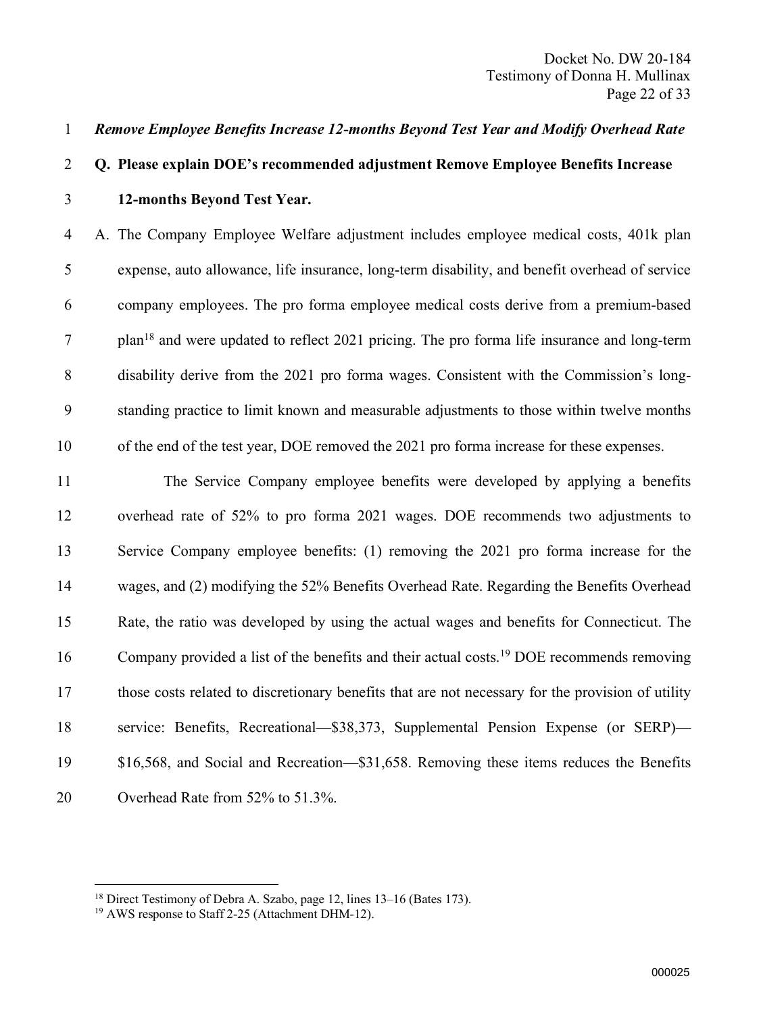#### Remove Employee Benefits Increase 12-months Beyond Test Year and Modify Overhead Rate

# Q. Please explain DOE's recommended adjustment Remove Employee Benefits Increase 12-months Beyond Test Year.

 A. The Company Employee Welfare adjustment includes employee medical costs, 401k plan expense, auto allowance, life insurance, long-term disability, and benefit overhead of service company employees. The pro forma employee medical costs derive from a premium-based plan<sup>18</sup> and were updated to reflect 2021 pricing. The pro forma life insurance and long-term disability derive from the 2021 pro forma wages. Consistent with the Commission's long- standing practice to limit known and measurable adjustments to those within twelve months of the end of the test year, DOE removed the 2021 pro forma increase for these expenses.

 The Service Company employee benefits were developed by applying a benefits overhead rate of 52% to pro forma 2021 wages. DOE recommends two adjustments to Service Company employee benefits: (1) removing the 2021 pro forma increase for the wages, and (2) modifying the 52% Benefits Overhead Rate. Regarding the Benefits Overhead Rate, the ratio was developed by using the actual wages and benefits for Connecticut. The 16 Company provided a list of the benefits and their actual costs.<sup>19</sup> DOE recommends removing those costs related to discretionary benefits that are not necessary for the provision of utility service: Benefits, Recreational—\$38,373, Supplemental Pension Expense (or SERP)— \$16,568, and Social and Recreation—\$31,658. Removing these items reduces the Benefits 20 Overhead Rate from 52% to 51.3%.

Direct Testimony of Debra A. Szabo, page 12, lines 13–16 (Bates 173).

AWS response to Staff 2-25 (Attachment DHM-12).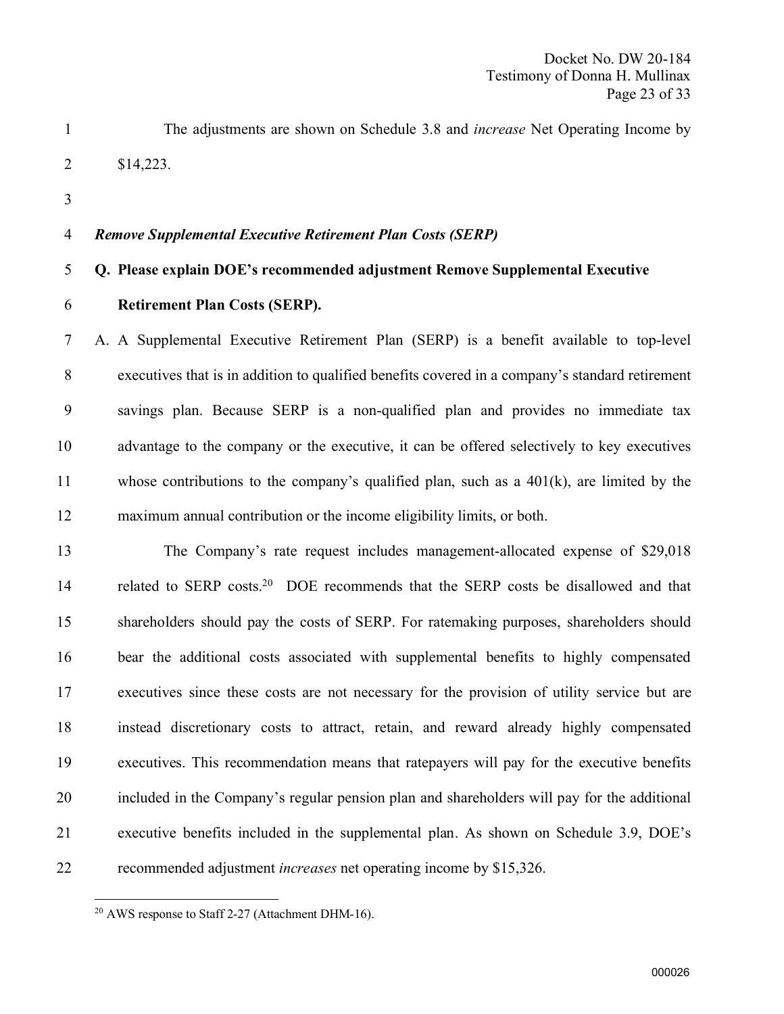- The adjustments are shown on Schedule 3.8 and increase Net Operating Income by \$14,223.
- 

#### Remove Supplemental Executive Retirement Plan Costs (SERP)

#### Q. Please explain DOE's recommended adjustment Remove Supplemental Executive

#### Retirement Plan Costs (SERP).

 A. A Supplemental Executive Retirement Plan (SERP) is a benefit available to top-level executives that is in addition to qualified benefits covered in a company's standard retirement savings plan. Because SERP is a non-qualified plan and provides no immediate tax advantage to the company or the executive, it can be offered selectively to key executives whose contributions to the company's qualified plan, such as a 401(k), are limited by the maximum annual contribution or the income eligibility limits, or both.

 The Company's rate request includes management-allocated expense of \$29,018 14 related to SERP costs.<sup>20</sup> DOE recommends that the SERP costs be disallowed and that shareholders should pay the costs of SERP. For ratemaking purposes, shareholders should bear the additional costs associated with supplemental benefits to highly compensated executives since these costs are not necessary for the provision of utility service but are instead discretionary costs to attract, retain, and reward already highly compensated executives. This recommendation means that ratepayers will pay for the executive benefits included in the Company's regular pension plan and shareholders will pay for the additional executive benefits included in the supplemental plan. As shown on Schedule 3.9, DOE's recommended adjustment increases net operating income by \$15,326.

AWS response to Staff 2-27 (Attachment DHM-16).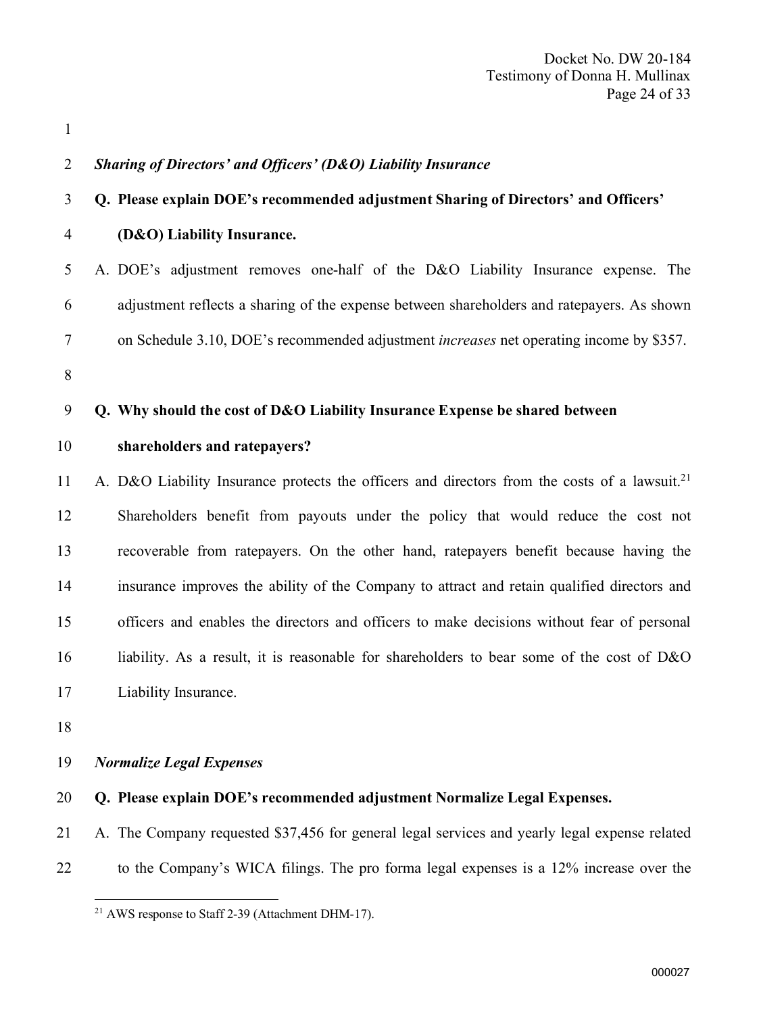Sharing of Directors' and Officers' (D&O) Liability Insurance Q. Please explain DOE's recommended adjustment Sharing of Directors' and Officers' (D&O) Liability Insurance. A. DOE's adjustment removes one-half of the D&O Liability Insurance expense. The adjustment reflects a sharing of the expense between shareholders and ratepayers. As shown on Schedule 3.10, DOE's recommended adjustment increases net operating income by \$357. Q. Why should the cost of D&O Liability Insurance Expense be shared between shareholders and ratepayers? 11 A. D&O Liability Insurance protects the officers and directors from the costs of a lawsuit.<sup>21</sup> Shareholders benefit from payouts under the policy that would reduce the cost not recoverable from ratepayers. On the other hand, ratepayers benefit because having the insurance improves the ability of the Company to attract and retain qualified directors and officers and enables the directors and officers to make decisions without fear of personal liability. As a result, it is reasonable for shareholders to bear some of the cost of D&O Liability Insurance. Normalize Legal Expenses Q. Please explain DOE's recommended adjustment Normalize Legal Expenses.

- A. The Company requested \$37,456 for general legal services and yearly legal expense related
- to the Company's WICA filings. The pro forma legal expenses is a 12% increase over the

AWS response to Staff 2-39 (Attachment DHM-17).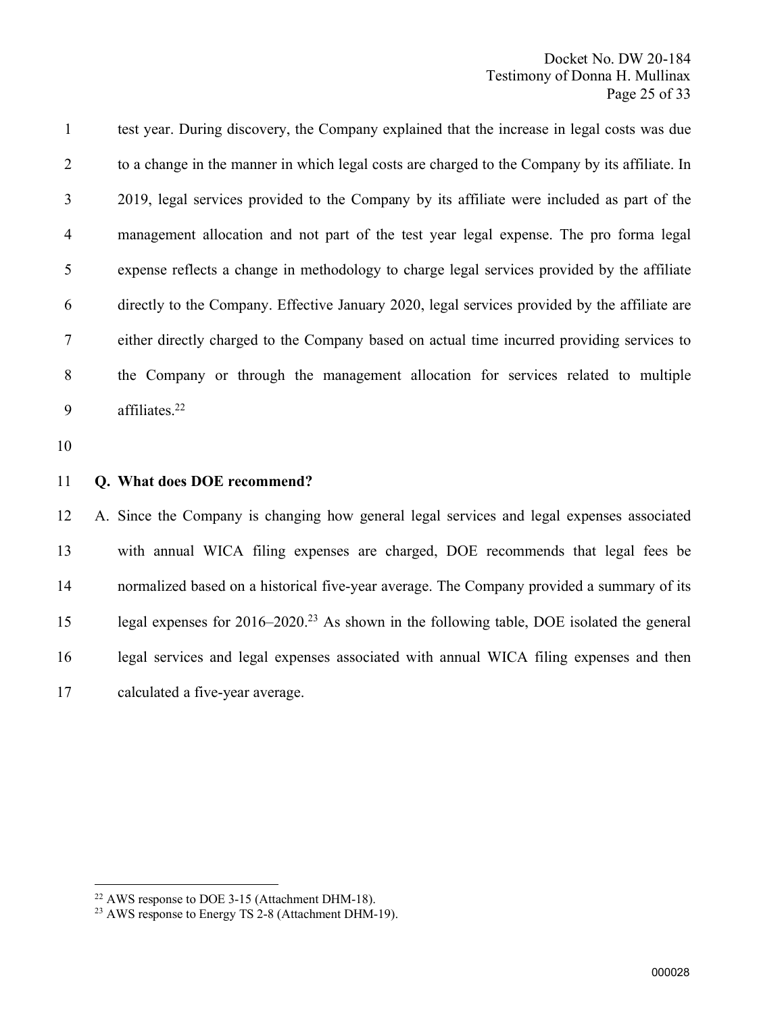test year. During discovery, the Company explained that the increase in legal costs was due to a change in the manner in which legal costs are charged to the Company by its affiliate. In 2019, legal services provided to the Company by its affiliate were included as part of the management allocation and not part of the test year legal expense. The pro forma legal expense reflects a change in methodology to charge legal services provided by the affiliate directly to the Company. Effective January 2020, legal services provided by the affiliate are either directly charged to the Company based on actual time incurred providing services to the Company or through the management allocation for services related to multiple affiliates. <sup>22</sup>

#### Q. What does DOE recommend?

 A. Since the Company is changing how general legal services and legal expenses associated with annual WICA filing expenses are charged, DOE recommends that legal fees be normalized based on a historical five-year average. The Company provided a summary of its 15 legal expenses for 2016–2020.<sup>23</sup> As shown in the following table, DOE isolated the general legal services and legal expenses associated with annual WICA filing expenses and then calculated a five-year average.

AWS response to DOE 3-15 (Attachment DHM-18).

<sup>&</sup>lt;sup>23</sup> AWS response to Energy TS 2-8 (Attachment DHM-19).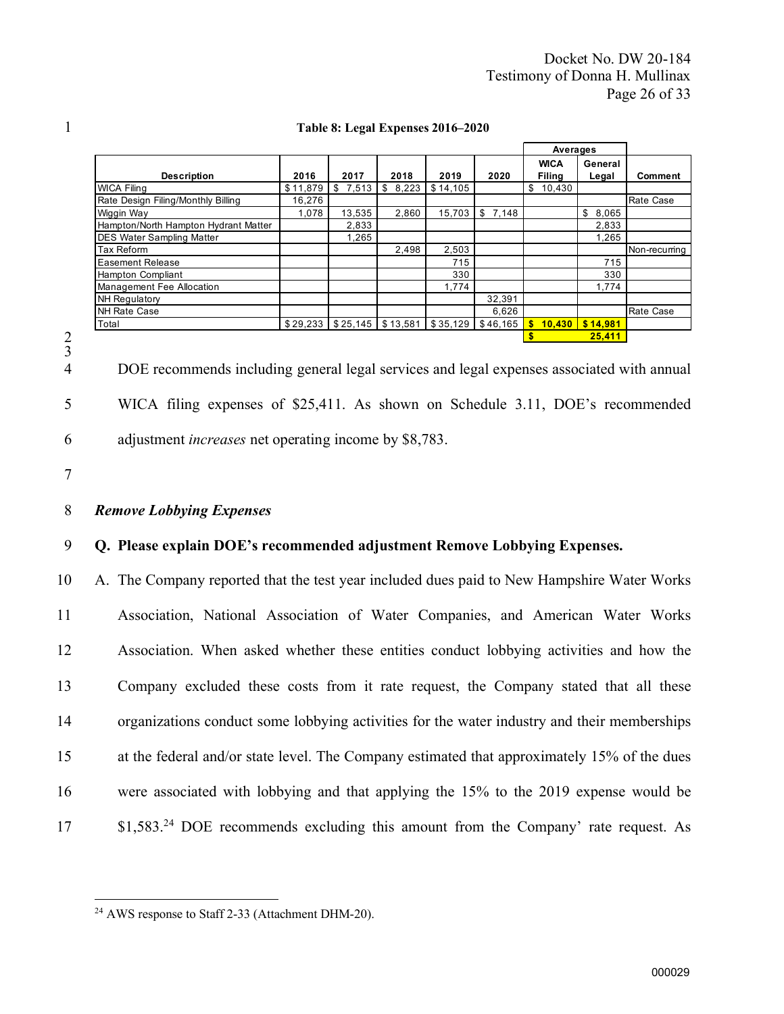|                                      |          |             |             |          |                                                   | Averages              |                   |                  |
|--------------------------------------|----------|-------------|-------------|----------|---------------------------------------------------|-----------------------|-------------------|------------------|
| <b>Description</b>                   | 2016     | 2017        | 2018        | 2019     | 2020                                              | <b>WICA</b><br>Filina | General<br>Legal  | Comment          |
| <b>WICA Filing</b>                   | \$11,879 | \$<br>7,513 | \$<br>8,223 | \$14,105 |                                                   | \$<br>10,430          |                   |                  |
| Rate Design Filing/Monthly Billing   | 16,276   |             |             |          |                                                   |                       |                   | <b>Rate Case</b> |
| Wiggin Way                           | 1.078    | 13,535      | 2.860       | 15,703   | \$7.148                                           |                       | \$8,065           |                  |
| Hampton/North Hampton Hydrant Matter |          | 2,833       |             |          |                                                   |                       | 2,833             |                  |
| <b>DES Water Sampling Matter</b>     |          | 1,265       |             |          |                                                   |                       | 1,265             |                  |
| <b>Tax Reform</b>                    |          |             | 2.498       | 2,503    |                                                   |                       |                   | Non-recurring    |
| <b>Easement Release</b>              |          |             |             | 715      |                                                   |                       | 715               |                  |
| <b>Hampton Compliant</b>             |          |             |             | 330      |                                                   |                       | 330               |                  |
| Management Fee Allocation            |          |             |             | 1.774    |                                                   |                       | 1.774             |                  |
| <b>NH Regulatory</b>                 |          |             |             |          | 32,391                                            |                       |                   |                  |
| <b>NH Rate Case</b>                  |          |             |             |          | 6.626                                             |                       |                   | <b>Rate Case</b> |
| Total                                |          |             |             |          | $$29,233$ $$25,145$ $$13,581$ $$35,129$ $$46,165$ | <b>S</b>              | $10,430$ \$14,981 |                  |
|                                      |          |             |             |          |                                                   |                       | 25,411            |                  |

#### 1 Table 8: Legal Expenses 2016–2020

2 3

> 4 DOE recommends including general legal services and legal expenses associated with annual 5 WICA filing expenses of \$25,411. As shown on Schedule 3.11, DOE's recommended 6 adjustment increases net operating income by \$8,783.

7

#### 8 Remove Lobbying Expenses

#### 9 Q. Please explain DOE's recommended adjustment Remove Lobbying Expenses.

 A. The Company reported that the test year included dues paid to New Hampshire Water Works Association, National Association of Water Companies, and American Water Works Association. When asked whether these entities conduct lobbying activities and how the Company excluded these costs from it rate request, the Company stated that all these organizations conduct some lobbying activities for the water industry and their memberships at the federal and/or state level. The Company estimated that approximately 15% of the dues were associated with lobbying and that applying the 15% to the 2019 expense would be 17 81,583<sup>24</sup> DOE recommends excluding this amount from the Company' rate request. As

<sup>24</sup> AWS response to Staff 2-33 (Attachment DHM-20).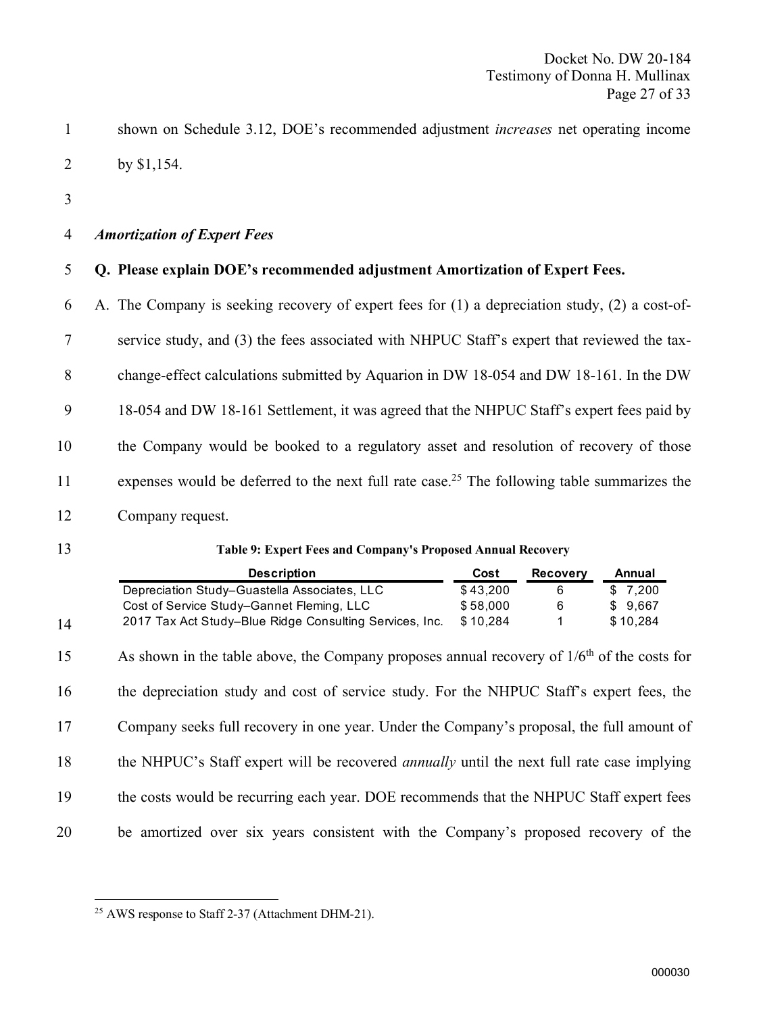shown on Schedule 3.12, DOE's recommended adjustment increases net operating income by \$1,154.

#### Amortization of Expert Fees

Q. Please explain DOE's recommended adjustment Amortization of Expert Fees.

 A. The Company is seeking recovery of expert fees for (1) a depreciation study, (2) a cost-of- service study, and (3) the fees associated with NHPUC Staff's expert that reviewed the tax- change-effect calculations submitted by Aquarion in DW 18-054 and DW 18-161. In the DW 18-054 and DW 18-161 Settlement, it was agreed that the NHPUC Staff's expert fees paid by the Company would be booked to a regulatory asset and resolution of recovery of those 11 expenses would be deferred to the next full rate case.<sup>25</sup> The following table summarizes the Company request.

#### Table 9: Expert Fees and Company's Proposed Annual Recovery

|    | <b>Description</b>                                                                                | Cost     | <b>Recovery</b> | Annual   |
|----|---------------------------------------------------------------------------------------------------|----------|-----------------|----------|
|    | Depreciation Study-Guastella Associates, LLC                                                      | \$43,200 | 6               | \$7,200  |
|    | Cost of Service Study-Gannet Fleming, LLC                                                         | \$58,000 | 6               | \$9,667  |
| 14 | 2017 Tax Act Study-Blue Ridge Consulting Services, Inc.                                           | \$10,284 |                 | \$10,284 |
| 15 | As shown in the table above, the Company proposes annual recovery of $1/6th$ of the costs for     |          |                 |          |
| 16 | the depreciation study and cost of service study. For the NHPUC Staff's expert fees, the          |          |                 |          |
| 17 | Company seeks full recovery in one year. Under the Company's proposal, the full amount of         |          |                 |          |
| 18 | the NHPUC's Staff expert will be recovered <i>annually</i> until the next full rate case implying |          |                 |          |
| 19 | the costs would be recurring each year. DOE recommends that the NHPUC Staff expert fees           |          |                 |          |
| 20 | be amortized over six years consistent with the Company's proposed recovery of the                |          |                 |          |

AWS response to Staff 2-37 (Attachment DHM-21).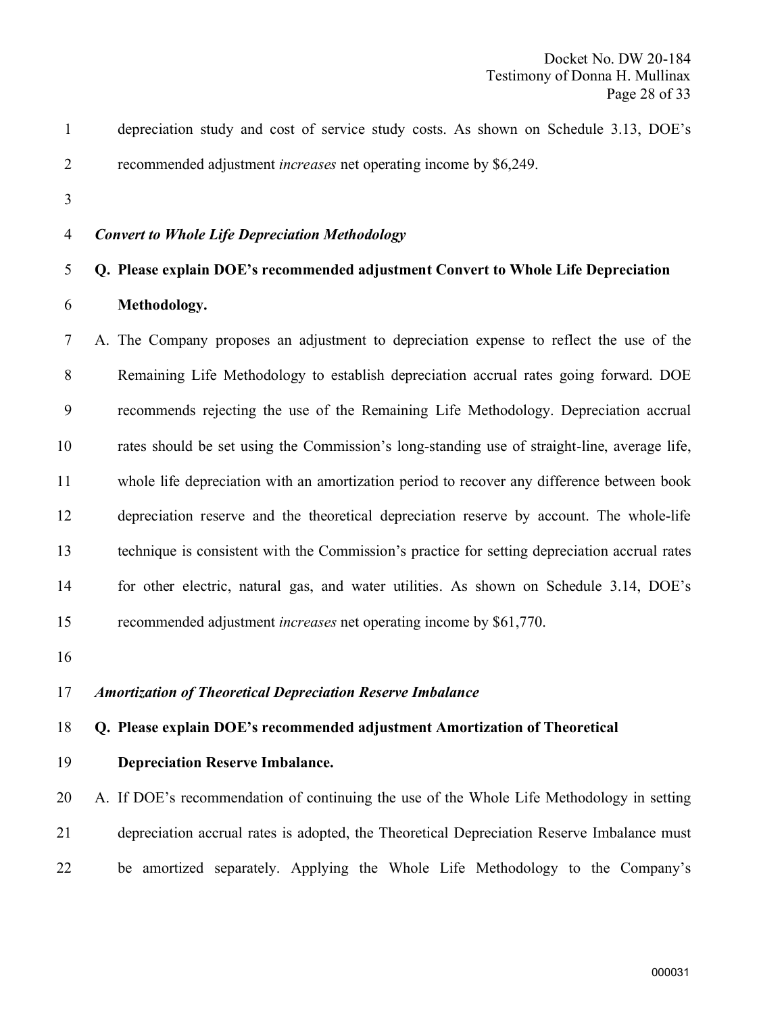- depreciation study and cost of service study costs. As shown on Schedule 3.13, DOE's recommended adjustment increases net operating income by \$6,249.
- 

#### Convert to Whole Life Depreciation Methodology

#### Q. Please explain DOE's recommended adjustment Convert to Whole Life Depreciation

Methodology.

 A. The Company proposes an adjustment to depreciation expense to reflect the use of the Remaining Life Methodology to establish depreciation accrual rates going forward. DOE recommends rejecting the use of the Remaining Life Methodology. Depreciation accrual rates should be set using the Commission's long-standing use of straight-line, average life, whole life depreciation with an amortization period to recover any difference between book depreciation reserve and the theoretical depreciation reserve by account. The whole-life technique is consistent with the Commission's practice for setting depreciation accrual rates for other electric, natural gas, and water utilities. As shown on Schedule 3.14, DOE's recommended adjustment increases net operating income by \$61,770.

#### Amortization of Theoretical Depreciation Reserve Imbalance

#### Q. Please explain DOE's recommended adjustment Amortization of Theoretical

Depreciation Reserve Imbalance.

 A. If DOE's recommendation of continuing the use of the Whole Life Methodology in setting depreciation accrual rates is adopted, the Theoretical Depreciation Reserve Imbalance must be amortized separately. Applying the Whole Life Methodology to the Company's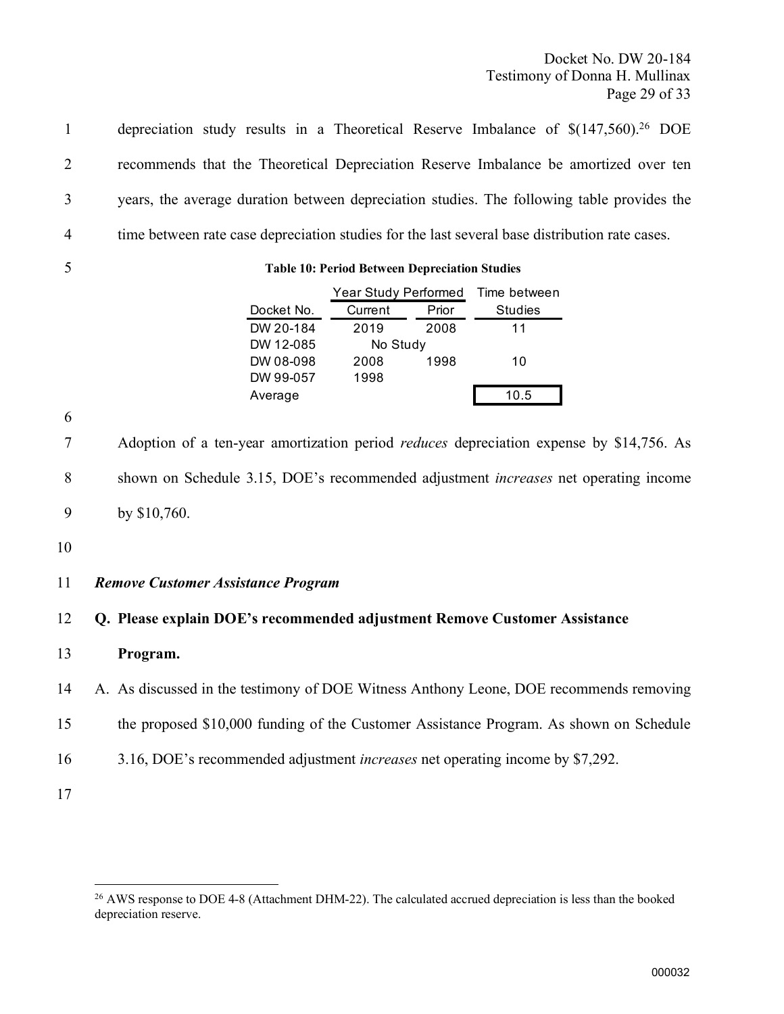Docket No. DW 20-184 Testimony of Donna H. Mullinax Page 29 of 33

depreciation study results in a Theoretical Reserve Imbalance of  $\{(147,560)\}^{26}$  DOE recommends that the Theoretical Depreciation Reserve Imbalance be amortized over ten years, the average duration between depreciation studies. The following table provides the time between rate case depreciation studies for the last several base distribution rate cases.



#### 5 Table 10: Period Between Depreciation Studies

|            | Year Study Performed |  | Time between   |
|------------|----------------------|--|----------------|
| Docket No. | Prior<br>Current     |  | <b>Studies</b> |
| DW 20-184  | 2008<br>2019         |  | 11             |
| DW 12-085  | No Study             |  |                |
| DW 08-098  | 1998<br>2008         |  | 10             |
| DW 99-057  | 1998                 |  |                |
| Average    |                      |  | 10.5           |

6

7 Adoption of a ten-year amortization period *reduces* depreciation expense by \$14,756. As 8 shown on Schedule 3.15, DOE's recommended adjustment increases net operating income 9 by \$10,760.

10

#### 11 Remove Customer Assistance Program

#### 12 Q. Please explain DOE's recommended adjustment Remove Customer Assistance

13 Program.

14 A. As discussed in the testimony of DOE Witness Anthony Leone, DOE recommends removing

- 15 the proposed \$10,000 funding of the Customer Assistance Program. As shown on Schedule
- 16 3.16, DOE's recommended adjustment increases net operating income by \$7,292.

<sup>&</sup>lt;sup>26</sup> AWS response to DOE 4-8 (Attachment DHM-22). The calculated accrued depreciation is less than the booked depreciation reserve.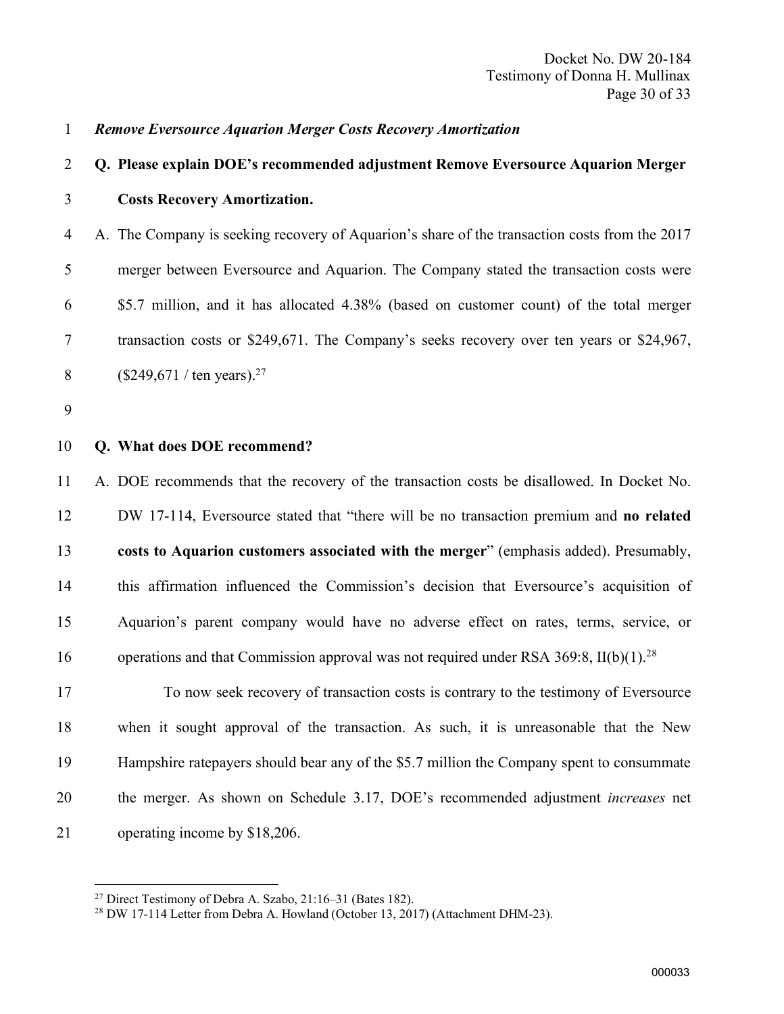#### Remove Eversource Aquarion Merger Costs Recovery Amortization

# Q. Please explain DOE's recommended adjustment Remove Eversource Aquarion Merger Costs Recovery Amortization.

 A. The Company is seeking recovery of Aquarion's share of the transaction costs from the 2017 merger between Eversource and Aquarion. The Company stated the transaction costs were \$5.7 million, and it has allocated 4.38% (based on customer count) of the total merger transaction costs or \$249,671. The Company's seeks recovery over ten years or \$24,967,  $($249,671 / \text{ten years}).^{27}$ 

#### 10 O. What does DOE recommend?

 A. DOE recommends that the recovery of the transaction costs be disallowed. In Docket No. DW 17-114, Eversource stated that "there will be no transaction premium and no related costs to Aquarion customers associated with the merger" (emphasis added). Presumably, this affirmation influenced the Commission's decision that Eversource's acquisition of Aquarion's parent company would have no adverse effect on rates, terms, service, or 16 operations and that Commission approval was not required under RSA 369:8, II(b)(1).<sup>28</sup>

 To now seek recovery of transaction costs is contrary to the testimony of Eversource when it sought approval of the transaction. As such, it is unreasonable that the New Hampshire ratepayers should bear any of the \$5.7 million the Company spent to consummate the merger. As shown on Schedule 3.17, DOE's recommended adjustment increases net operating income by \$18,206.

Direct Testimony of Debra A. Szabo, 21:16–31 (Bates 182).

DW 17-114 Letter from Debra A. Howland (October 13, 2017) (Attachment DHM-23).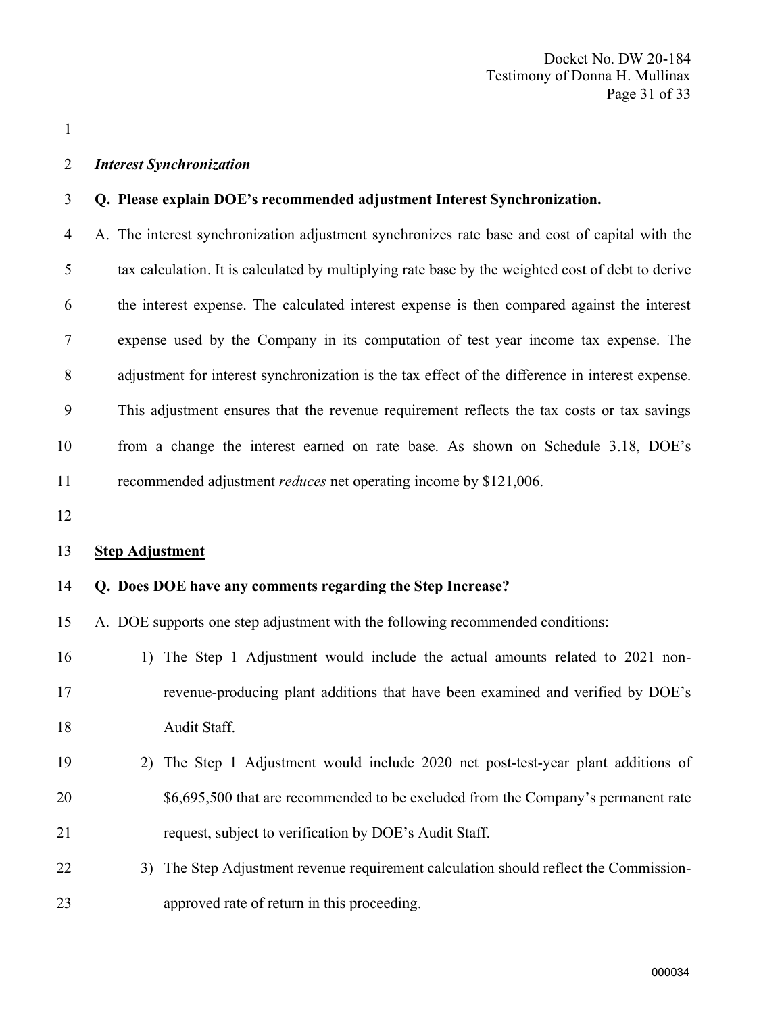#### Interest Synchronization

#### Q. Please explain DOE's recommended adjustment Interest Synchronization.

 A. The interest synchronization adjustment synchronizes rate base and cost of capital with the tax calculation. It is calculated by multiplying rate base by the weighted cost of debt to derive the interest expense. The calculated interest expense is then compared against the interest expense used by the Company in its computation of test year income tax expense. The adjustment for interest synchronization is the tax effect of the difference in interest expense. This adjustment ensures that the revenue requirement reflects the tax costs or tax savings from a change the interest earned on rate base. As shown on Schedule 3.18, DOE's 11 recommended adjustment *reduces* net operating income by \$121,006.

#### Step Adjustment

#### Q. Does DOE have any comments regarding the Step Increase?

A. DOE supports one step adjustment with the following recommended conditions:

- 1) The Step 1 Adjustment would include the actual amounts related to 2021 non- revenue-producing plant additions that have been examined and verified by DOE's Audit Staff.
- 2) The Step 1 Adjustment would include 2020 net post-test-year plant additions of \$6,695,500 that are recommended to be excluded from the Company's permanent rate request, subject to verification by DOE's Audit Staff.
- 22 3) The Step Adjustment revenue requirement calculation should reflect the Commission-approved rate of return in this proceeding.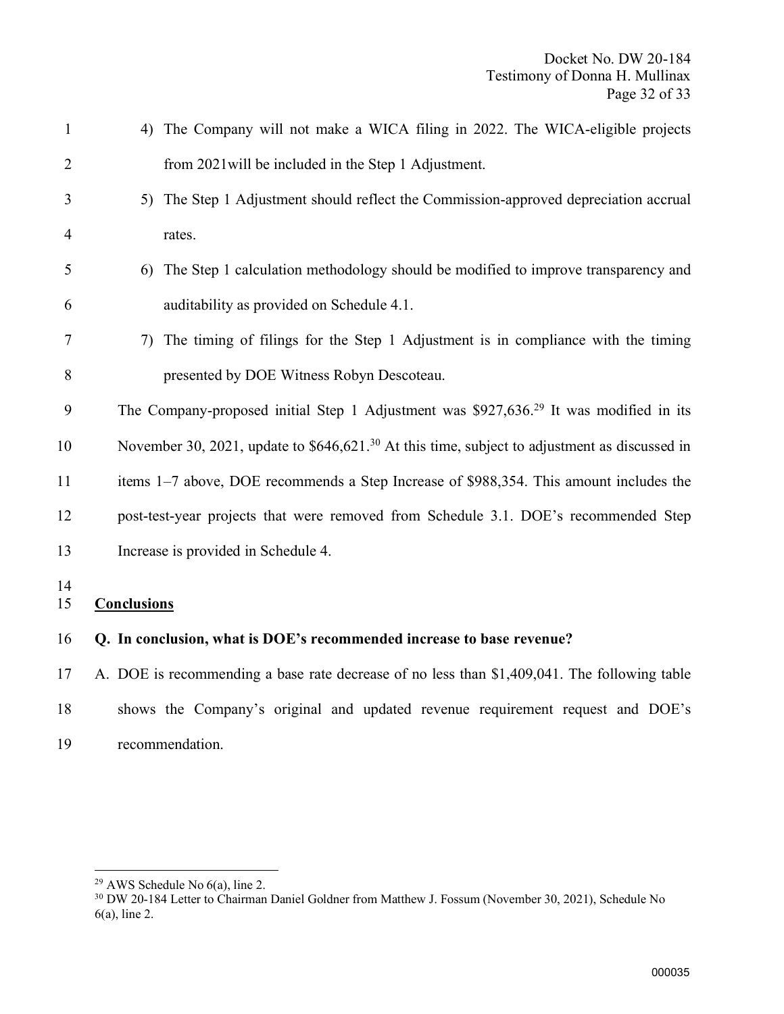| $\mathbf{1}$   | The Company will not make a WICA filing in 2022. The WICA-eligible projects<br>4)                  |
|----------------|----------------------------------------------------------------------------------------------------|
| $\overline{2}$ | from 2021 will be included in the Step 1 Adjustment.                                               |
| 3              | 5) The Step 1 Adjustment should reflect the Commission-approved depreciation accrual               |
| $\overline{4}$ | rates.                                                                                             |
| 5              | The Step 1 calculation methodology should be modified to improve transparency and<br>6)            |
| 6              | auditability as provided on Schedule 4.1.                                                          |
| 7              | The timing of filings for the Step 1 Adjustment is in compliance with the timing<br>7)             |
| 8              | presented by DOE Witness Robyn Descoteau.                                                          |
| 9              | The Company-proposed initial Step 1 Adjustment was \$927,636. <sup>29</sup> It was modified in its |
| 10             | November 30, 2021, update to $$646,621.^{30}$ At this time, subject to adjustment as discussed in  |
| 11             | items 1–7 above, DOE recommends a Step Increase of \$988,354. This amount includes the             |
| 12             | post-test-year projects that were removed from Schedule 3.1. DOE's recommended Step                |
| 13             | Increase is provided in Schedule 4.                                                                |
| 14<br>15       | <b>Conclusions</b>                                                                                 |
| 16             | Q. In conclusion, what is DOE's recommended increase to base revenue?                              |
| 17             | A. DOE is recommending a base rate decrease of no less than \$1,409,041. The following table       |
| 18             | shows the Company's original and updated revenue requirement request and DOE's                     |

recommendation.

AWS Schedule No 6(a), line 2.

 DW 20-184 Letter to Chairman Daniel Goldner from Matthew J. Fossum (November 30, 2021), Schedule No 6(a), line 2.